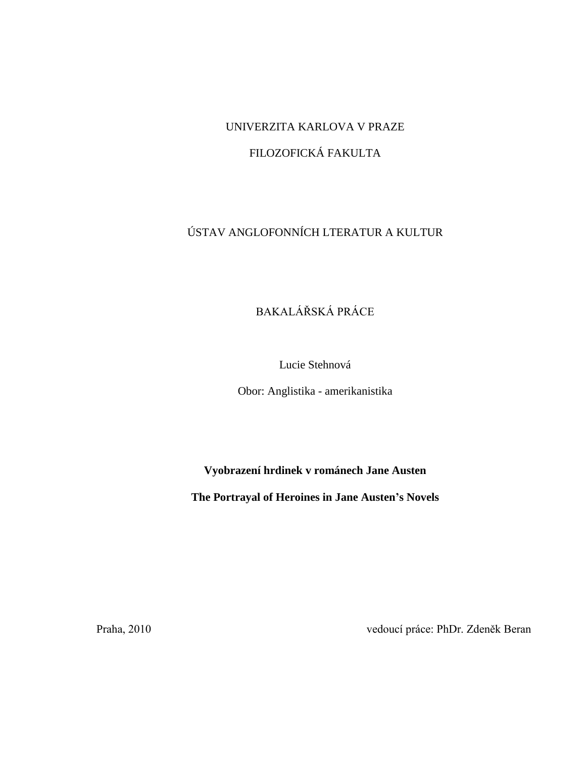# UNIVERZITA KARLOVA V PRAZE

# FILOZOFICKÁ FAKULTA

# ÚSTAV ANGLOFONNÍCH LTERATUR A KULTUR

# BAKALÁŘSKÁ PRÁCE

Lucie Stehnová

Obor: Anglistika - amerikanistika

**Vyobrazení hrdinek v románech Jane Austen**

**The Portrayal of Heroines in Jane Austen's Novels**

Praha, 2010 vedoucí práce: PhDr. Zdeněk Beran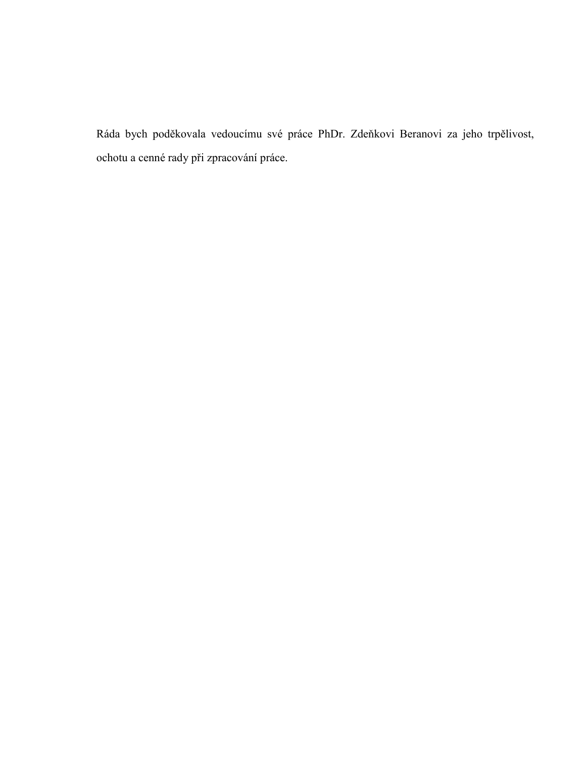Ráda bych poděkovala vedoucímu své práce PhDr. Zdeňkovi Beranovi za jeho trpělivost, ochotu a cenné rady při zpracování práce.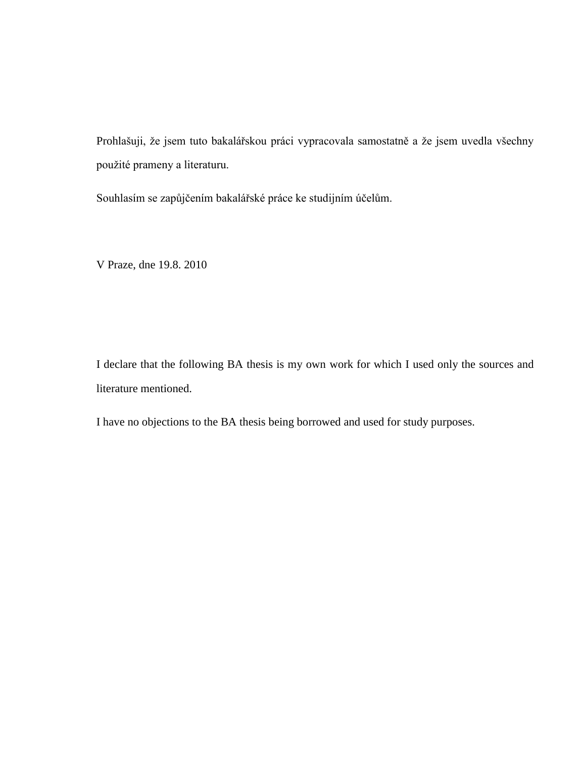Prohlašuji, že jsem tuto bakalářskou práci vypracovala samostatně a že jsem uvedla všechny použité prameny a literaturu.

Souhlasím se zapůjčením bakalářské práce ke studijním účelům.

V Praze, dne 19.8. 2010

I declare that the following BA thesis is my own work for which I used only the sources and literature mentioned.

I have no objections to the BA thesis being borrowed and used for study purposes.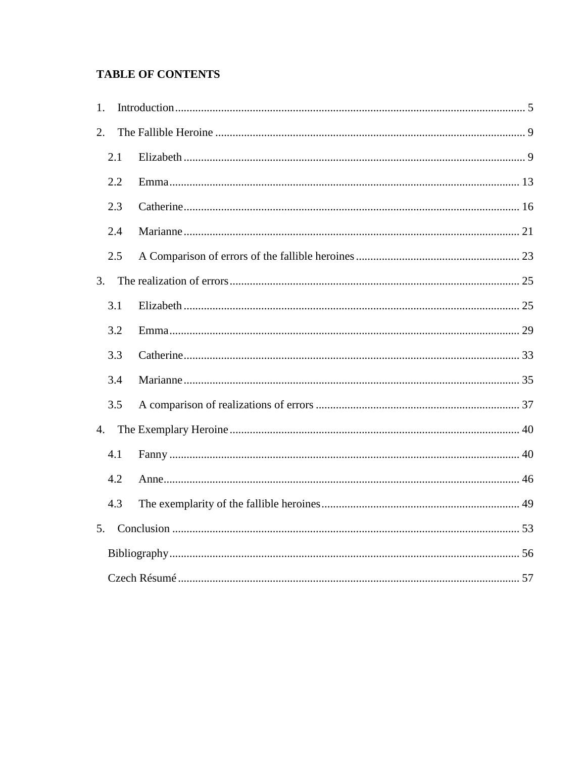# **TABLE OF CONTENTS**

| 1. |     |  |
|----|-----|--|
| 2. |     |  |
|    | 2.1 |  |
|    | 2.2 |  |
|    | 2.3 |  |
|    | 2.4 |  |
|    | 2.5 |  |
| 3. |     |  |
|    | 3.1 |  |
|    | 3.2 |  |
|    | 3.3 |  |
|    | 3.4 |  |
|    | 3.5 |  |
| 4. |     |  |
|    | 4.1 |  |
|    | 4.2 |  |
|    | 4.3 |  |
| 5. |     |  |
|    |     |  |
|    |     |  |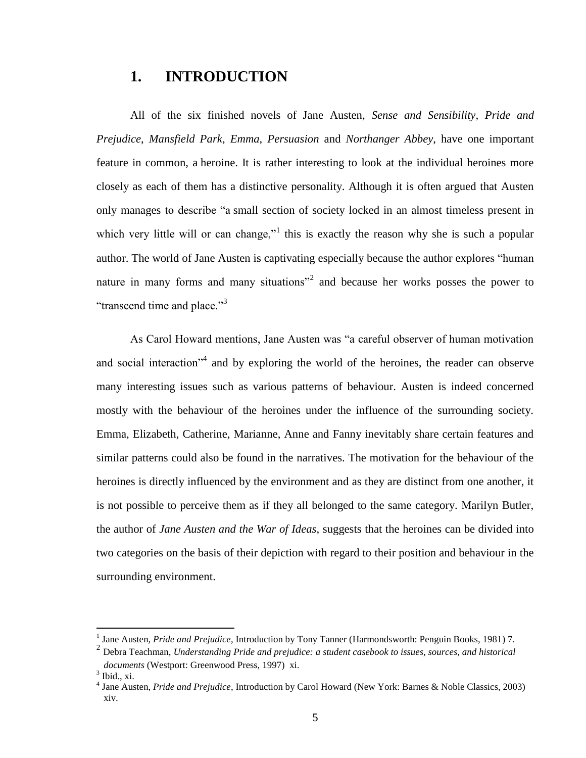# <span id="page-4-0"></span>**1. INTRODUCTION**

All of the six finished novels of Jane Austen, *Sense and Sensibility*, *Pride and Prejudice*, *Mansfield Park*, *Emma*, *Persuasion* and *Northanger Abbey*, have one important feature in common, a heroine. It is rather interesting to look at the individual heroines more closely as each of them has a distinctive personality. Although it is often argued that Austen only manages to describe "a small section of society locked in an almost timeless present in which very little will or can change,"<sup>1</sup> this is exactly the reason why she is such a popular author. The world of Jane Austen is captivating especially because the author explores "human nature in many forms and many situations<sup>"2</sup> and because her works posses the power to "transcend time and place."<sup>3</sup>

As Carol Howard mentions, Jane Austen was "a careful observer of human motivation and social interaction<sup>34</sup> and by exploring the world of the heroines, the reader can observe many interesting issues such as various patterns of behaviour. Austen is indeed concerned mostly with the behaviour of the heroines under the influence of the surrounding society. Emma, Elizabeth, Catherine, Marianne, Anne and Fanny inevitably share certain features and similar patterns could also be found in the narratives. The motivation for the behaviour of the heroines is directly influenced by the environment and as they are distinct from one another, it is not possible to perceive them as if they all belonged to the same category. Marilyn Butler, the author of *Jane Austen and the War of Ideas*, suggests that the heroines can be divided into two categories on the basis of their depiction with regard to their position and behaviour in the surrounding environment.

<sup>&</sup>lt;sup>1</sup> Jane Austen, *Pride and Prejudice*, Introduction by Tony Tanner (Harmondsworth: Penguin Books, 1981) 7.

<sup>2</sup> Debra Teachman, *Understanding Pride and prejudice: a student casebook to issues, sources, and historical documents* (Westport: Greenwood Press, 1997) xi.

<sup>3</sup> Ibid., xi.

<sup>4</sup> Jane Austen, *Pride and Prejudice*, Introduction by Carol Howard (New York: Barnes & Noble Classics, 2003) xiv.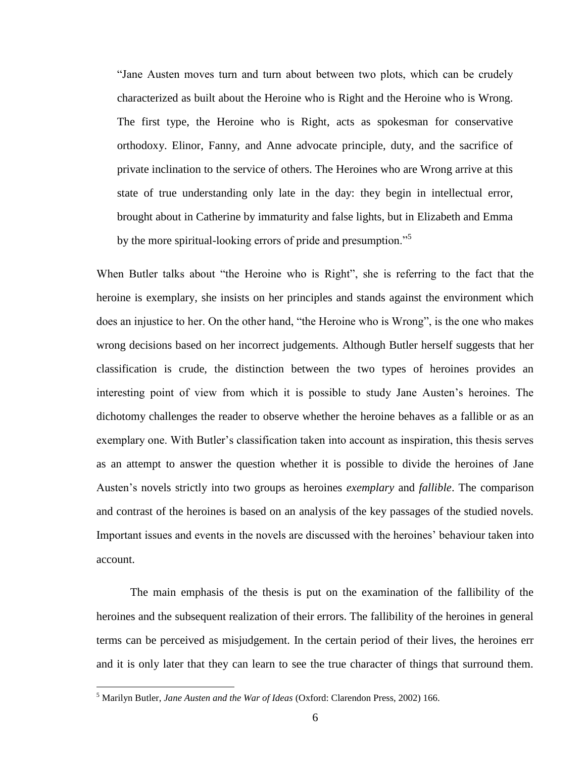"Jane Austen moves turn and turn about between two plots, which can be crudely characterized as built about the Heroine who is Right and the Heroine who is Wrong. The first type, the Heroine who is Right, acts as spokesman for conservative orthodoxy. Elinor, Fanny, and Anne advocate principle, duty, and the sacrifice of private inclination to the service of others. The Heroines who are Wrong arrive at this state of true understanding only late in the day: they begin in intellectual error, brought about in Catherine by immaturity and false lights, but in Elizabeth and Emma by the more spiritual-looking errors of pride and presumption."<sup>5</sup>

When Butler talks about "the Heroine who is Right", she is referring to the fact that the heroine is exemplary, she insists on her principles and stands against the environment which does an injustice to her. On the other hand, "the Heroine who is Wrong", is the one who makes wrong decisions based on her incorrect judgements. Although Butler herself suggests that her classification is crude, the distinction between the two types of heroines provides an interesting point of view from which it is possible to study Jane Austen"s heroines. The dichotomy challenges the reader to observe whether the heroine behaves as a fallible or as an exemplary one. With Butler's classification taken into account as inspiration, this thesis serves as an attempt to answer the question whether it is possible to divide the heroines of Jane Austen"s novels strictly into two groups as heroines *exemplary* and *fallible*. The comparison and contrast of the heroines is based on an analysis of the key passages of the studied novels. Important issues and events in the novels are discussed with the heroines" behaviour taken into account.

The main emphasis of the thesis is put on the examination of the fallibility of the heroines and the subsequent realization of their errors. The fallibility of the heroines in general terms can be perceived as misjudgement. In the certain period of their lives, the heroines err and it is only later that they can learn to see the true character of things that surround them.

<sup>5</sup> Marilyn Butler, *Jane Austen and the War of Ideas* (Oxford: Clarendon Press, 2002) 166.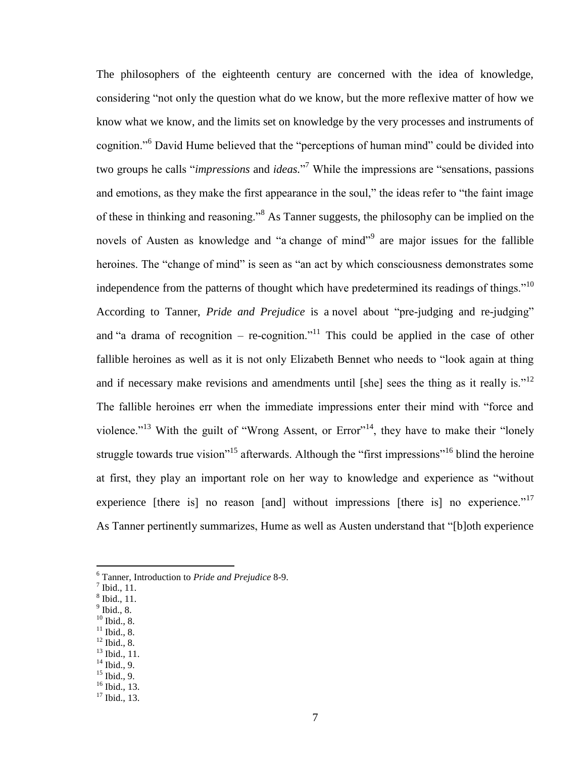The philosophers of the eighteenth century are concerned with the idea of knowledge, considering "not only the question what do we know, but the more reflexive matter of how we know what we know, and the limits set on knowledge by the very processes and instruments of cognition."<sup>6</sup> David Hume believed that the "perceptions of human mind" could be divided into two groups he calls "*impressions* and *ideas.*" <sup>7</sup> While the impressions are "sensations, passions and emotions, as they make the first appearance in the soul," the ideas refer to "the faint image of these in thinking and reasoning."<sup>8</sup> As Tanner suggests, the philosophy can be implied on the novels of Austen as knowledge and "a change of mind"<sup>9</sup> are major issues for the fallible heroines. The "change of mind" is seen as "an act by which consciousness demonstrates some independence from the patterns of thought which have predetermined its readings of things."<sup>10</sup> According to Tanner, *Pride and Prejudice* is a novel about "pre-judging and re-judging" and "a drama of recognition – re-cognition."<sup>11</sup> This could be applied in the case of other fallible heroines as well as it is not only Elizabeth Bennet who needs to "look again at thing and if necessary make revisions and amendments until [she] sees the thing as it really is."<sup>12</sup> The fallible heroines err when the immediate impressions enter their mind with "force and violence."<sup>13</sup> With the guilt of "Wrong Assent, or Error"<sup>14</sup>, they have to make their "lonely struggle towards true vision<sup>315</sup> afterwards. Although the "first impressions"<sup>16</sup> blind the heroine at first, they play an important role on her way to knowledge and experience as "without experience [there is] no reason [and] without impressions [there is] no experience."<sup>17</sup> As Tanner pertinently summarizes, Hume as well as Austen understand that "[b]oth experience

- 9 Ibid., 8.
- $10$  Ibid., 8.
- $11$  Ibid., 8.  $^{12}$  Ibid., 8.
- $13$  Ibid., 11.
- $14$  Ibid., 9.
- $15$  Ibid., 9.
- <sup>16</sup> Ibid., 13.

<sup>6</sup> Tanner, Introduction to *Pride and Prejudice* 8-9.

 $<sup>7</sup>$  Ibid., 11.</sup>

<sup>8</sup> Ibid., 11.

<sup>&</sup>lt;sup>17</sup> Ibid., 13.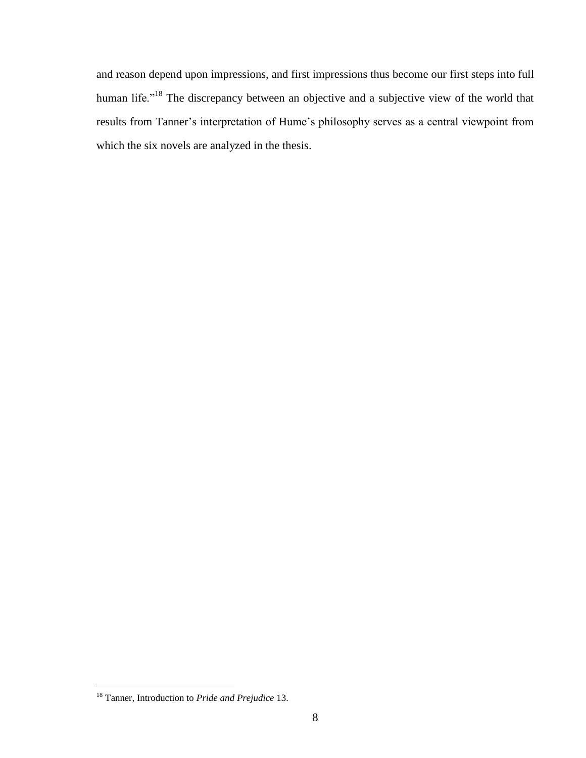and reason depend upon impressions, and first impressions thus become our first steps into full human life."<sup>18</sup> The discrepancy between an objective and a subjective view of the world that results from Tanner"s interpretation of Hume"s philosophy serves as a central viewpoint from which the six novels are analyzed in the thesis.

<sup>18</sup> Tanner, Introduction to *Pride and Prejudice* 13.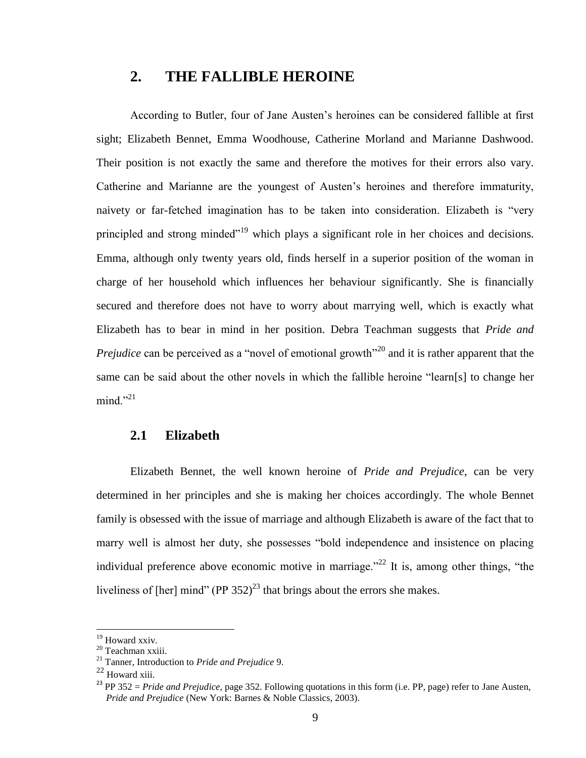# <span id="page-8-0"></span>**2. THE FALLIBLE HEROINE**

According to Butler, four of Jane Austen"s heroines can be considered fallible at first sight; Elizabeth Bennet, Emma Woodhouse, Catherine Morland and Marianne Dashwood. Their position is not exactly the same and therefore the motives for their errors also vary. Catherine and Marianne are the youngest of Austen"s heroines and therefore immaturity, naivety or far-fetched imagination has to be taken into consideration. Elizabeth is "very principled and strong minded"<sup>19</sup> which plays a significant role in her choices and decisions. Emma, although only twenty years old, finds herself in a superior position of the woman in charge of her household which influences her behaviour significantly. She is financially secured and therefore does not have to worry about marrying well, which is exactly what Elizabeth has to bear in mind in her position. Debra Teachman suggests that *Pride and Prejudice* can be perceived as a "novel of emotional growth<sup>"20</sup> and it is rather apparent that the same can be said about the other novels in which the fallible heroine "learn[s] to change her  $mind."$ <sup>21</sup>

#### <span id="page-8-1"></span>**2.1 Elizabeth**

Elizabeth Bennet, the well known heroine of *Pride and Prejudice*, can be very determined in her principles and she is making her choices accordingly. The whole Bennet family is obsessed with the issue of marriage and although Elizabeth is aware of the fact that to marry well is almost her duty, she possesses "bold independence and insistence on placing individual preference above economic motive in marriage.<sup> $22$ </sup> It is, among other things, "the liveliness of [her] mind" (PP  $352$ )<sup>23</sup> that brings about the errors she makes.

<sup>&</sup>lt;sup>19</sup> Howard xxiv.

 $20$  Teachman xxiii.

<sup>21</sup> Tanner, Introduction to *Pride and Prejudice* 9.

<sup>22</sup> Howard xiii.

<sup>&</sup>lt;sup>23</sup> PP 352 = *Pride and Prejudice*, page 352. Following quotations in this form (i.e. PP, page) refer to Jane Austen, *Pride and Prejudice* (New York: Barnes & Noble Classics, 2003).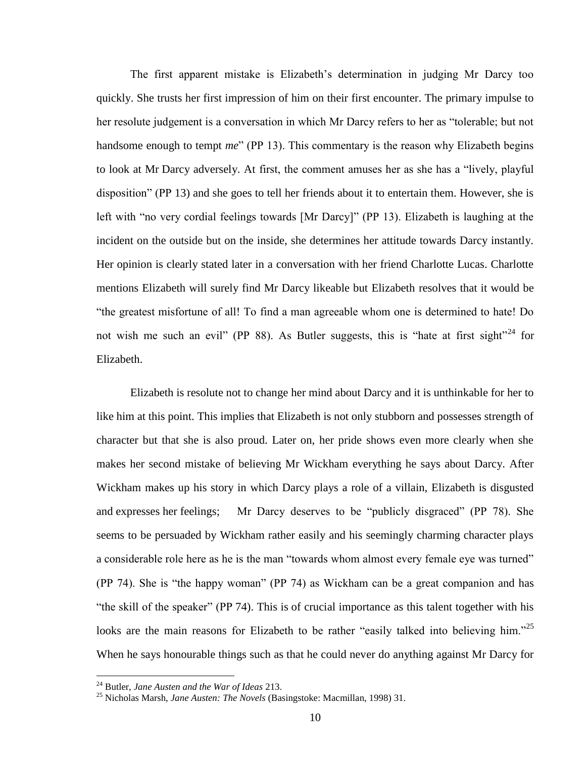The first apparent mistake is Elizabeth"s determination in judging Mr Darcy too quickly. She trusts her first impression of him on their first encounter. The primary impulse to her resolute judgement is a conversation in which Mr Darcy refers to her as "tolerable; but not handsome enough to tempt *me*" (PP 13). This commentary is the reason why Elizabeth begins to look at Mr Darcy adversely. At first, the comment amuses her as she has a "lively, playful disposition" (PP 13) and she goes to tell her friends about it to entertain them. However, she is left with "no very cordial feelings towards [Mr Darcy]" (PP 13). Elizabeth is laughing at the incident on the outside but on the inside, she determines her attitude towards Darcy instantly. Her opinion is clearly stated later in a conversation with her friend Charlotte Lucas. Charlotte mentions Elizabeth will surely find Mr Darcy likeable but Elizabeth resolves that it would be "the greatest misfortune of all! To find a man agreeable whom one is determined to hate! Do not wish me such an evil" (PP 88). As Butler suggests, this is "hate at first sight"<sup>24</sup> for Elizabeth.

Elizabeth is resolute not to change her mind about Darcy and it is unthinkable for her to like him at this point. This implies that Elizabeth is not only stubborn and possesses strength of character but that she is also proud. Later on, her pride shows even more clearly when she makes her second mistake of believing Mr Wickham everything he says about Darcy. After Wickham makes up his story in which Darcy plays a role of a villain, Elizabeth is disgusted and expresses her feelings; Mr Darcy deserves to be "publicly disgraced" (PP 78). She seems to be persuaded by Wickham rather easily and his seemingly charming character plays a considerable role here as he is the man "towards whom almost every female eye was turned" (PP 74). She is "the happy woman" (PP 74) as Wickham can be a great companion and has "the skill of the speaker" (PP 74). This is of crucial importance as this talent together with his looks are the main reasons for Elizabeth to be rather "easily talked into believing him."<sup>25</sup> When he says honourable things such as that he could never do anything against Mr Darcy for

<sup>24</sup> Butler, *Jane Austen and the War of Ideas* 213.

<sup>25</sup> Nicholas Marsh, *Jane Austen: The Novels* (Basingstoke: Macmillan, 1998) 31.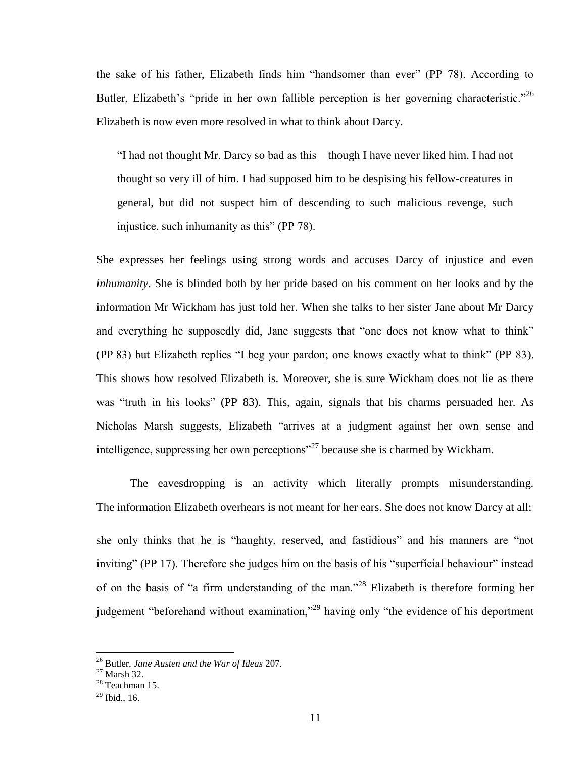the sake of his father, Elizabeth finds him "handsomer than ever" (PP 78). According to Butler, Elizabeth's "pride in her own fallible perception is her governing characteristic."<sup>26</sup> Elizabeth is now even more resolved in what to think about Darcy.

"I had not thought Mr. Darcy so bad as this – though I have never liked him. I had not thought so very ill of him. I had supposed him to be despising his fellow-creatures in general, but did not suspect him of descending to such malicious revenge, such injustice, such inhumanity as this" (PP 78).

She expresses her feelings using strong words and accuses Darcy of injustice and even *inhumanity*. She is blinded both by her pride based on his comment on her looks and by the information Mr Wickham has just told her. When she talks to her sister Jane about Mr Darcy and everything he supposedly did, Jane suggests that "one does not know what to think" (PP 83) but Elizabeth replies "I beg your pardon; one knows exactly what to think" (PP 83). This shows how resolved Elizabeth is. Moreover, she is sure Wickham does not lie as there was "truth in his looks" (PP 83). This, again, signals that his charms persuaded her. As Nicholas Marsh suggests, Elizabeth "arrives at a judgment against her own sense and intelligence, suppressing her own perceptions"<sup>27</sup> because she is charmed by Wickham.

The eavesdropping is an activity which literally prompts misunderstanding. The information Elizabeth overhears is not meant for her ears. She does not know Darcy at all; she only thinks that he is "haughty, reserved, and fastidious" and his manners are "not inviting" (PP 17). Therefore she judges him on the basis of his "superficial behaviour" instead of on the basis of "a firm understanding of the man."<sup>28</sup> Elizabeth is therefore forming her judgement "beforehand without examination,"<sup>29</sup> having only "the evidence of his deportment

<sup>26</sup> Butler, *Jane Austen and the War of Ideas* 207.

 $27$  Marsh 32.

 $28$  Teachman 15.

 $^{29}$  Ibid., 16.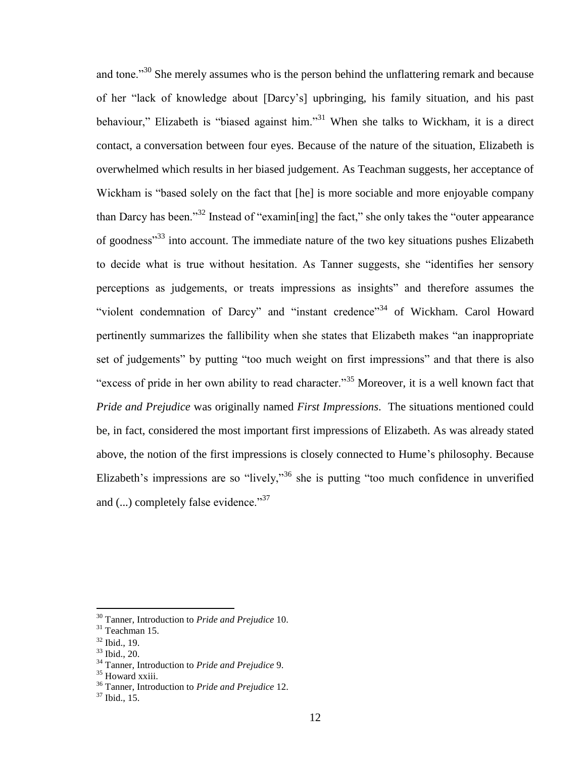and tone."<sup>30</sup> She merely assumes who is the person behind the unflattering remark and because of her "lack of knowledge about [Darcy"s] upbringing, his family situation, and his past behaviour," Elizabeth is "biased against him."<sup>31</sup> When she talks to Wickham, it is a direct contact, a conversation between four eyes. Because of the nature of the situation, Elizabeth is overwhelmed which results in her biased judgement. As Teachman suggests, her acceptance of Wickham is "based solely on the fact that [he] is more sociable and more enjoyable company than Darcy has been."<sup>32</sup> Instead of "examin[ing] the fact," she only takes the "outer appearance of goodness"<sup>33</sup> into account. The immediate nature of the two key situations pushes Elizabeth to decide what is true without hesitation. As Tanner suggests, she "identifies her sensory perceptions as judgements, or treats impressions as insights" and therefore assumes the "violent condemnation of Darcy" and "instant credence"<sup>34</sup> of Wickham. Carol Howard pertinently summarizes the fallibility when she states that Elizabeth makes "an inappropriate set of judgements" by putting "too much weight on first impressions" and that there is also "excess of pride in her own ability to read character."<sup>35</sup> Moreover, it is a well known fact that *Pride and Prejudice* was originally named *First Impressions*. The situations mentioned could be, in fact, considered the most important first impressions of Elizabeth. As was already stated above, the notion of the first impressions is closely connected to Hume"s philosophy. Because Elizabeth's impressions are so "lively,"<sup>36</sup> she is putting "too much confidence in unverified and (...) completely false evidence."<sup>37</sup>

<sup>30</sup> Tanner, Introduction to *Pride and Prejudice* 10.

<sup>31</sup> Teachman 15.

<sup>32</sup> Ibid., 19.

<sup>33</sup> Ibid., 20.

<sup>34</sup> Tanner, Introduction to *Pride and Prejudice* 9.

<sup>&</sup>lt;sup>35</sup> Howard xxiii.

<sup>36</sup> Tanner, Introduction to *Pride and Prejudice* 12.

 $37$  Ibid., 15.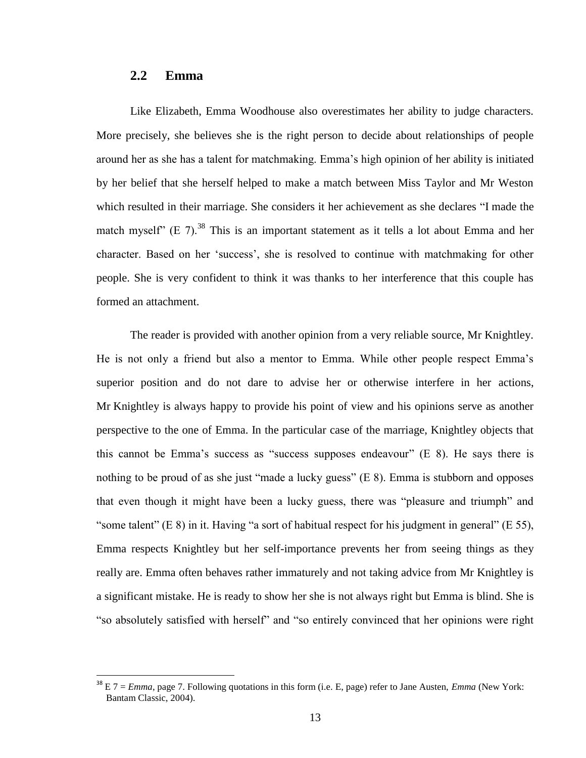# <span id="page-12-0"></span>**2.2 Emma**

 $\overline{a}$ 

Like Elizabeth, Emma Woodhouse also overestimates her ability to judge characters. More precisely, she believes she is the right person to decide about relationships of people around her as she has a talent for matchmaking. Emma"s high opinion of her ability is initiated by her belief that she herself helped to make a match between Miss Taylor and Mr Weston which resulted in their marriage. She considers it her achievement as she declares "I made the match myself" (E 7).<sup>38</sup> This is an important statement as it tells a lot about Emma and her character. Based on her "success", she is resolved to continue with matchmaking for other people. She is very confident to think it was thanks to her interference that this couple has formed an attachment.

The reader is provided with another opinion from a very reliable source, Mr Knightley. He is not only a friend but also a mentor to Emma. While other people respect Emma"s superior position and do not dare to advise her or otherwise interfere in her actions, Mr Knightley is always happy to provide his point of view and his opinions serve as another perspective to the one of Emma. In the particular case of the marriage, Knightley objects that this cannot be Emma"s success as "success supposes endeavour" (E 8). He says there is nothing to be proud of as she just "made a lucky guess" (E 8). Emma is stubborn and opposes that even though it might have been a lucky guess, there was "pleasure and triumph" and "some talent" (E 8) in it. Having "a sort of habitual respect for his judgment in general" (E 55), Emma respects Knightley but her self-importance prevents her from seeing things as they really are. Emma often behaves rather immaturely and not taking advice from Mr Knightley is a significant mistake. He is ready to show her she is not always right but Emma is blind. She is "so absolutely satisfied with herself" and "so entirely convinced that her opinions were right

<sup>38</sup> E 7 = *Emma*, page 7. Following quotations in this form (i.e. E, page) refer to Jane Austen, *Emma* (New York: Bantam Classic, 2004).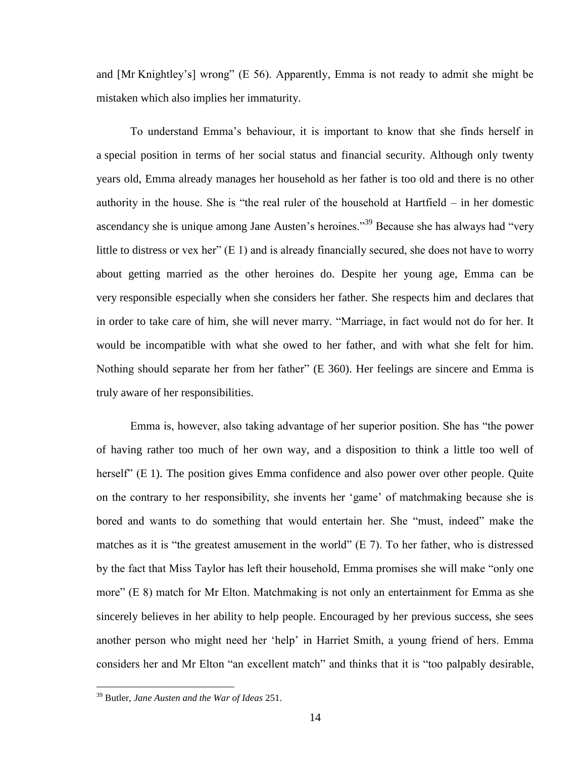and [Mr Knightley"s] wrong" (E 56). Apparently, Emma is not ready to admit she might be mistaken which also implies her immaturity.

To understand Emma"s behaviour, it is important to know that she finds herself in a special position in terms of her social status and financial security. Although only twenty years old, Emma already manages her household as her father is too old and there is no other authority in the house. She is "the real ruler of the household at Hartfield – in her domestic ascendancy she is unique among Jane Austen's heroines."<sup>39</sup> Because she has always had "very little to distress or vex her" (E 1) and is already financially secured, she does not have to worry about getting married as the other heroines do. Despite her young age, Emma can be very responsible especially when she considers her father. She respects him and declares that in order to take care of him, she will never marry. "Marriage, in fact would not do for her. It would be incompatible with what she owed to her father, and with what she felt for him. Nothing should separate her from her father" (E 360). Her feelings are sincere and Emma is truly aware of her responsibilities.

Emma is, however, also taking advantage of her superior position. She has "the power of having rather too much of her own way, and a disposition to think a little too well of herself" (E 1). The position gives Emma confidence and also power over other people. Quite on the contrary to her responsibility, she invents her "game" of matchmaking because she is bored and wants to do something that would entertain her. She "must, indeed" make the matches as it is "the greatest amusement in the world" (E 7). To her father, who is distressed by the fact that Miss Taylor has left their household, Emma promises she will make "only one more" (E 8) match for Mr Elton. Matchmaking is not only an entertainment for Emma as she sincerely believes in her ability to help people. Encouraged by her previous success, she sees another person who might need her "help" in Harriet Smith, a young friend of hers. Emma considers her and Mr Elton "an excellent match" and thinks that it is "too palpably desirable,

<sup>39</sup> Butler, *Jane Austen and the War of Ideas* 251.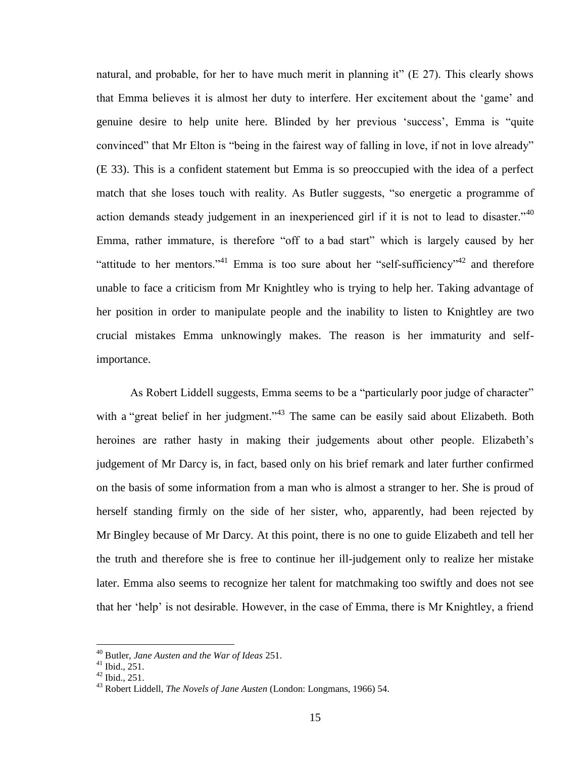natural, and probable, for her to have much merit in planning it"  $(E 27)$ . This clearly shows that Emma believes it is almost her duty to interfere. Her excitement about the "game" and genuine desire to help unite here. Blinded by her previous "success", Emma is "quite convinced" that Mr Elton is "being in the fairest way of falling in love, if not in love already" (E 33). This is a confident statement but Emma is so preoccupied with the idea of a perfect match that she loses touch with reality. As Butler suggests, "so energetic a programme of action demands steady judgement in an inexperienced girl if it is not to lead to disaster.<sup>140</sup> Emma, rather immature, is therefore "off to a bad start" which is largely caused by her "attitude to her mentors."<sup>41</sup> Emma is too sure about her "self-sufficiency"<sup>42</sup> and therefore unable to face a criticism from Mr Knightley who is trying to help her. Taking advantage of her position in order to manipulate people and the inability to listen to Knightley are two crucial mistakes Emma unknowingly makes. The reason is her immaturity and selfimportance.

As Robert Liddell suggests, Emma seems to be a "particularly poor judge of character" with a "great belief in her judgment."<sup>43</sup> The same can be easily said about Elizabeth. Both heroines are rather hasty in making their judgements about other people. Elizabeth"s judgement of Mr Darcy is, in fact, based only on his brief remark and later further confirmed on the basis of some information from a man who is almost a stranger to her. She is proud of herself standing firmly on the side of her sister, who, apparently, had been rejected by Mr Bingley because of Mr Darcy. At this point, there is no one to guide Elizabeth and tell her the truth and therefore she is free to continue her ill-judgement only to realize her mistake later. Emma also seems to recognize her talent for matchmaking too swiftly and does not see that her "help" is not desirable. However, in the case of Emma, there is Mr Knightley, a friend

<sup>40</sup> Butler, *Jane Austen and the War of Ideas* 251.

 $^{41}$  Ibid., 251.

 $42$  Ibid., 251.

<sup>43</sup> Robert Liddell, *The Novels of Jane Austen* (London: Longmans, 1966) 54.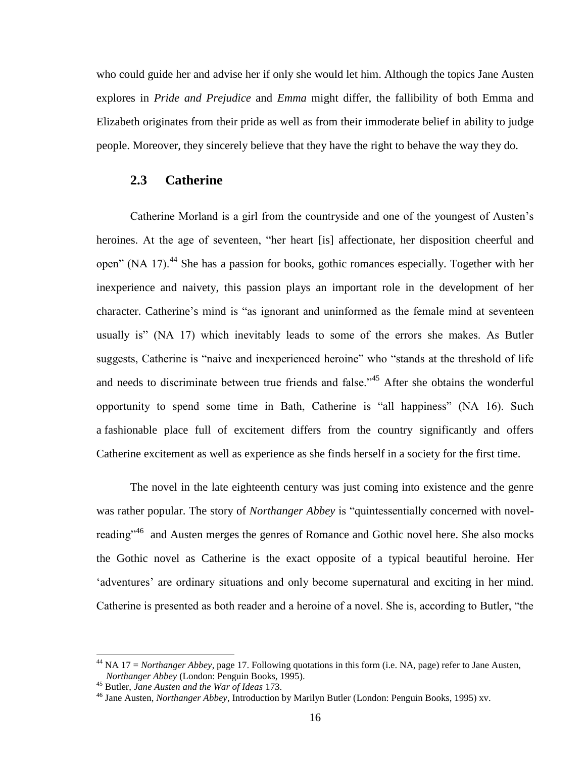who could guide her and advise her if only she would let him. Although the topics Jane Austen explores in *Pride and Prejudice* and *Emma* might differ, the fallibility of both Emma and Elizabeth originates from their pride as well as from their immoderate belief in ability to judge people. Moreover, they sincerely believe that they have the right to behave the way they do.

# <span id="page-15-0"></span>**2.3 Catherine**

Catherine Morland is a girl from the countryside and one of the youngest of Austen"s heroines. At the age of seventeen, "her heart [is] affectionate, her disposition cheerful and open" (NA 17).<sup>44</sup> She has a passion for books, gothic romances especially. Together with her inexperience and naivety, this passion plays an important role in the development of her character. Catherine"s mind is "as ignorant and uninformed as the female mind at seventeen usually is" (NA 17) which inevitably leads to some of the errors she makes. As Butler suggests, Catherine is "naive and inexperienced heroine" who "stands at the threshold of life and needs to discriminate between true friends and false."<sup>45</sup> After she obtains the wonderful opportunity to spend some time in Bath, Catherine is "all happiness" (NA 16). Such a fashionable place full of excitement differs from the country significantly and offers Catherine excitement as well as experience as she finds herself in a society for the first time.

The novel in the late eighteenth century was just coming into existence and the genre was rather popular. The story of *Northanger Abbey* is "quintessentially concerned with novelreading"<sup>46</sup> and Austen merges the genres of Romance and Gothic novel here. She also mocks the Gothic novel as Catherine is the exact opposite of a typical beautiful heroine. Her 'adventures' are ordinary situations and only become supernatural and exciting in her mind. Catherine is presented as both reader and a heroine of a novel. She is, according to Butler, "the

 $^{44}$  NA 17 = *Northanger Abbey*, page 17. Following quotations in this form (i.e. NA, page) refer to Jane Austen, *Northanger Abbey* (London: Penguin Books, 1995).

<sup>45</sup> Butler, *Jane Austen and the War of Ideas* 173.

<sup>46</sup> Jane Austen, *Northanger Abbey*, Introduction by Marilyn Butler (London: Penguin Books, 1995) xv.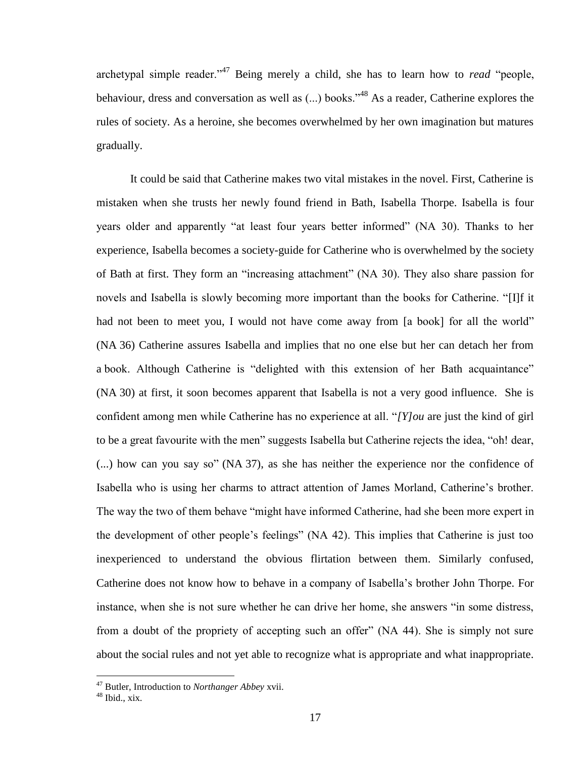archetypal simple reader."<sup>47</sup> Being merely a child, she has to learn how to *read* "people, behaviour, dress and conversation as well as (...) books."<sup>48</sup> As a reader, Catherine explores the rules of society. As a heroine, she becomes overwhelmed by her own imagination but matures gradually.

It could be said that Catherine makes two vital mistakes in the novel. First, Catherine is mistaken when she trusts her newly found friend in Bath, Isabella Thorpe. Isabella is four years older and apparently "at least four years better informed" (NA 30). Thanks to her experience, Isabella becomes a society-guide for Catherine who is overwhelmed by the society of Bath at first. They form an "increasing attachment" (NA 30). They also share passion for novels and Isabella is slowly becoming more important than the books for Catherine. "[I]f it had not been to meet you, I would not have come away from [a book] for all the world" (NA 36) Catherine assures Isabella and implies that no one else but her can detach her from a book. Although Catherine is "delighted with this extension of her Bath acquaintance" (NA 30) at first, it soon becomes apparent that Isabella is not a very good influence. She is confident among men while Catherine has no experience at all. "*[Y]ou* are just the kind of girl to be a great favourite with the men" suggests Isabella but Catherine rejects the idea, "oh! dear, (...) how can you say so" (NA 37), as she has neither the experience nor the confidence of Isabella who is using her charms to attract attention of James Morland, Catherine"s brother. The way the two of them behave "might have informed Catherine, had she been more expert in the development of other people"s feelings" (NA 42). This implies that Catherine is just too inexperienced to understand the obvious flirtation between them. Similarly confused, Catherine does not know how to behave in a company of Isabella"s brother John Thorpe. For instance, when she is not sure whether he can drive her home, she answers "in some distress, from a doubt of the propriety of accepting such an offer" (NA 44). She is simply not sure about the social rules and not yet able to recognize what is appropriate and what inappropriate.

<sup>47</sup> Butler, Introduction to *Northanger Abbey* xvii.

<sup>48</sup> Ibid., xix.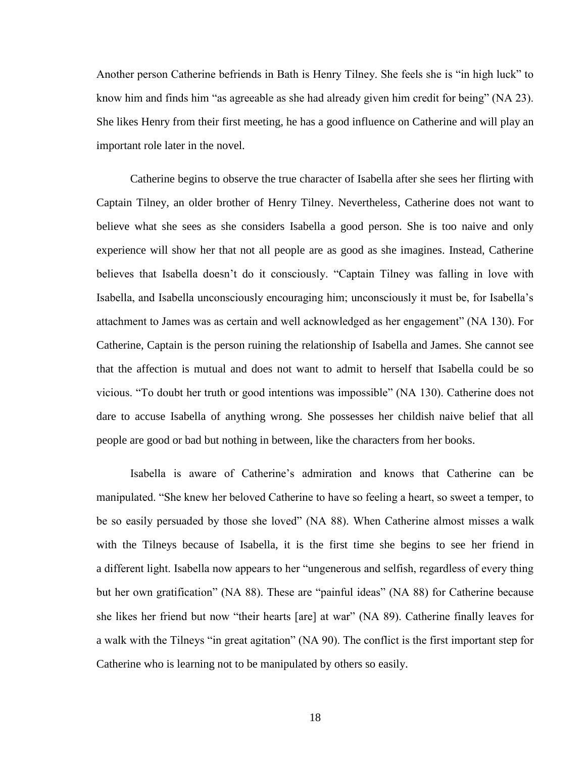Another person Catherine befriends in Bath is Henry Tilney. She feels she is "in high luck" to know him and finds him "as agreeable as she had already given him credit for being" (NA 23). She likes Henry from their first meeting, he has a good influence on Catherine and will play an important role later in the novel.

Catherine begins to observe the true character of Isabella after she sees her flirting with Captain Tilney, an older brother of Henry Tilney. Nevertheless, Catherine does not want to believe what she sees as she considers Isabella a good person. She is too naive and only experience will show her that not all people are as good as she imagines. Instead, Catherine believes that Isabella doesn"t do it consciously. "Captain Tilney was falling in love with Isabella, and Isabella unconsciously encouraging him; unconsciously it must be, for Isabella"s attachment to James was as certain and well acknowledged as her engagement" (NA 130). For Catherine, Captain is the person ruining the relationship of Isabella and James. She cannot see that the affection is mutual and does not want to admit to herself that Isabella could be so vicious. "To doubt her truth or good intentions was impossible" (NA 130). Catherine does not dare to accuse Isabella of anything wrong. She possesses her childish naive belief that all people are good or bad but nothing in between, like the characters from her books.

Isabella is aware of Catherine"s admiration and knows that Catherine can be manipulated. "She knew her beloved Catherine to have so feeling a heart, so sweet a temper, to be so easily persuaded by those she loved" (NA 88). When Catherine almost misses a walk with the Tilneys because of Isabella, it is the first time she begins to see her friend in a different light. Isabella now appears to her "ungenerous and selfish, regardless of every thing but her own gratification" (NA 88). These are "painful ideas" (NA 88) for Catherine because she likes her friend but now "their hearts [are] at war" (NA 89). Catherine finally leaves for a walk with the Tilneys "in great agitation" (NA 90). The conflict is the first important step for Catherine who is learning not to be manipulated by others so easily.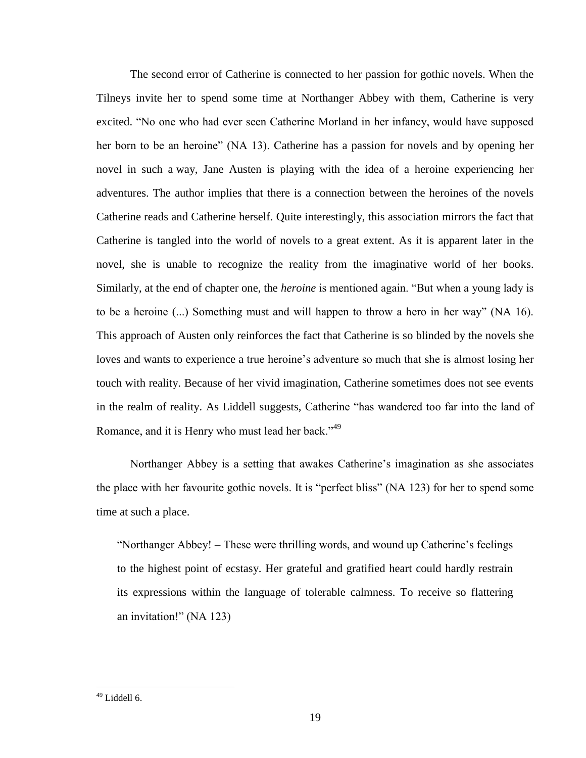The second error of Catherine is connected to her passion for gothic novels. When the Tilneys invite her to spend some time at Northanger Abbey with them, Catherine is very excited. "No one who had ever seen Catherine Morland in her infancy, would have supposed her born to be an heroine" (NA 13). Catherine has a passion for novels and by opening her novel in such a way, Jane Austen is playing with the idea of a heroine experiencing her adventures. The author implies that there is a connection between the heroines of the novels Catherine reads and Catherine herself. Quite interestingly, this association mirrors the fact that Catherine is tangled into the world of novels to a great extent. As it is apparent later in the novel, she is unable to recognize the reality from the imaginative world of her books. Similarly, at the end of chapter one, the *heroine* is mentioned again. "But when a young lady is to be a heroine (...) Something must and will happen to throw a hero in her way" (NA 16). This approach of Austen only reinforces the fact that Catherine is so blinded by the novels she loves and wants to experience a true heroine's adventure so much that she is almost losing her touch with reality. Because of her vivid imagination, Catherine sometimes does not see events in the realm of reality. As Liddell suggests, Catherine "has wandered too far into the land of Romance, and it is Henry who must lead her back."<sup>49</sup>

Northanger Abbey is a setting that awakes Catherine"s imagination as she associates the place with her favourite gothic novels. It is "perfect bliss" (NA 123) for her to spend some time at such a place.

"Northanger Abbey! – These were thrilling words, and wound up Catherine"s feelings to the highest point of ecstasy. Her grateful and gratified heart could hardly restrain its expressions within the language of tolerable calmness. To receive so flattering an invitation!" (NA 123)

 $49$  Liddell 6.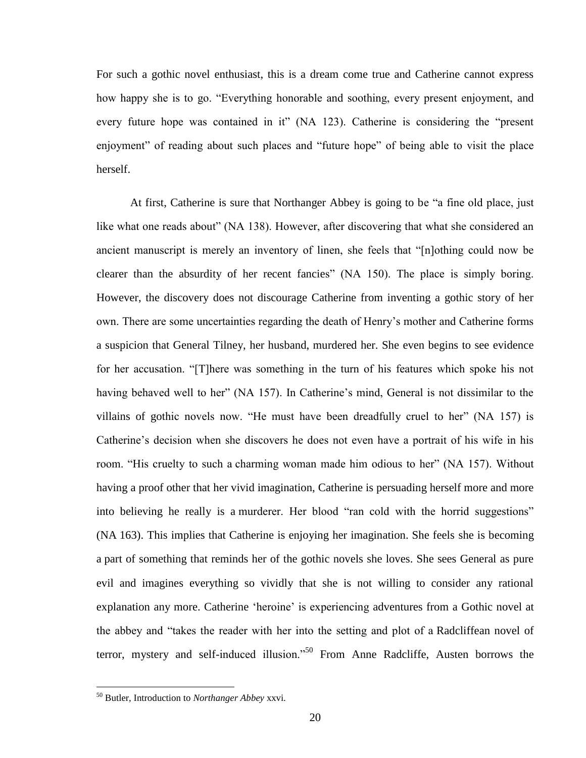For such a gothic novel enthusiast, this is a dream come true and Catherine cannot express how happy she is to go. "Everything honorable and soothing, every present enjoyment, and every future hope was contained in it" (NA 123). Catherine is considering the "present enjoyment" of reading about such places and "future hope" of being able to visit the place herself.

At first, Catherine is sure that Northanger Abbey is going to be "a fine old place, just like what one reads about" (NA 138). However, after discovering that what she considered an ancient manuscript is merely an inventory of linen, she feels that "[n]othing could now be clearer than the absurdity of her recent fancies" (NA 150). The place is simply boring. However, the discovery does not discourage Catherine from inventing a gothic story of her own. There are some uncertainties regarding the death of Henry"s mother and Catherine forms a suspicion that General Tilney, her husband, murdered her. She even begins to see evidence for her accusation. "[T]here was something in the turn of his features which spoke his not having behaved well to her" (NA 157). In Catherine's mind, General is not dissimilar to the villains of gothic novels now. "He must have been dreadfully cruel to her" (NA 157) is Catherine"s decision when she discovers he does not even have a portrait of his wife in his room. "His cruelty to such a charming woman made him odious to her" (NA 157). Without having a proof other that her vivid imagination, Catherine is persuading herself more and more into believing he really is a murderer. Her blood "ran cold with the horrid suggestions" (NA 163). This implies that Catherine is enjoying her imagination. She feels she is becoming a part of something that reminds her of the gothic novels she loves. She sees General as pure evil and imagines everything so vividly that she is not willing to consider any rational explanation any more. Catherine "heroine" is experiencing adventures from a Gothic novel at the abbey and "takes the reader with her into the setting and plot of a Radcliffean novel of terror, mystery and self-induced illusion."<sup>50</sup> From Anne Radcliffe, Austen borrows the

<sup>50</sup> Butler, Introduction to *Northanger Abbey* xxvi.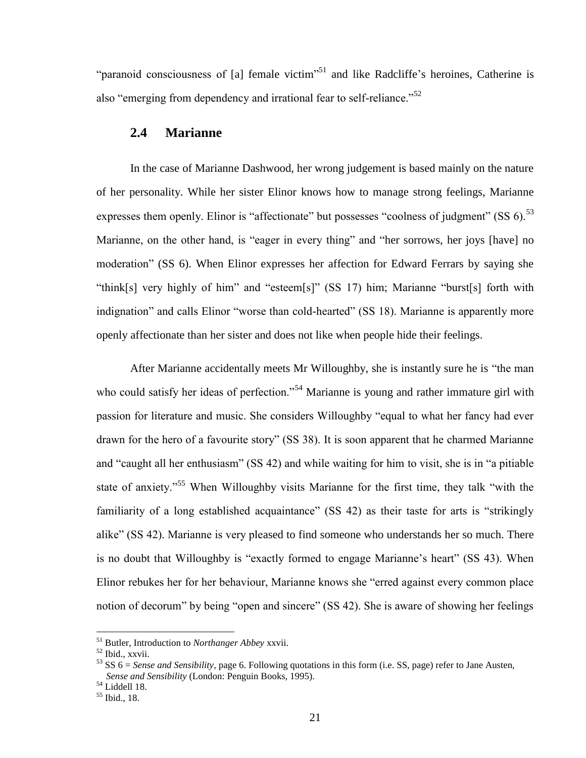"paranoid consciousness of [a] female victim"<sup>51</sup> and like Radcliffe's heroines, Catherine is also "emerging from dependency and irrational fear to self-reliance."<sup>52</sup>

# <span id="page-20-0"></span>**2.4 Marianne**

In the case of Marianne Dashwood, her wrong judgement is based mainly on the nature of her personality. While her sister Elinor knows how to manage strong feelings, Marianne expresses them openly. Elinor is "affectionate" but possesses "coolness of judgment" (SS  $6$ ).<sup>53</sup> Marianne, on the other hand, is "eager in every thing" and "her sorrows, her joys [have] no moderation" (SS 6). When Elinor expresses her affection for Edward Ferrars by saying she "think[s] very highly of him" and "esteem[s]" (SS 17) him; Marianne "burst[s] forth with indignation" and calls Elinor "worse than cold-hearted" (SS 18). Marianne is apparently more openly affectionate than her sister and does not like when people hide their feelings.

After Marianne accidentally meets Mr Willoughby, she is instantly sure he is "the man who could satisfy her ideas of perfection."<sup>54</sup> Marianne is young and rather immature girl with passion for literature and music. She considers Willoughby "equal to what her fancy had ever drawn for the hero of a favourite story" (SS 38). It is soon apparent that he charmed Marianne and "caught all her enthusiasm" (SS 42) and while waiting for him to visit, she is in "a pitiable state of anxiety."<sup>55</sup> When Willoughby visits Marianne for the first time, they talk "with the familiarity of a long established acquaintance" (SS 42) as their taste for arts is "strikingly alike" (SS 42). Marianne is very pleased to find someone who understands her so much. There is no doubt that Willoughby is "exactly formed to engage Marianne's heart" (SS 43). When Elinor rebukes her for her behaviour, Marianne knows she "erred against every common place notion of decorum" by being "open and sincere" (SS 42). She is aware of showing her feelings

<sup>51</sup> Butler, Introduction to *Northanger Abbey* xxvii.

<sup>52</sup> Ibid., xxvii.

<sup>53</sup> SS 6 = *Sense and Sensibility*, page 6. Following quotations in this form (i.e. SS, page) refer to Jane Austen, *Sense and Sensibility* (London: Penguin Books, 1995).

 $54$  Liddell 18.

<sup>55</sup> Ibid., 18.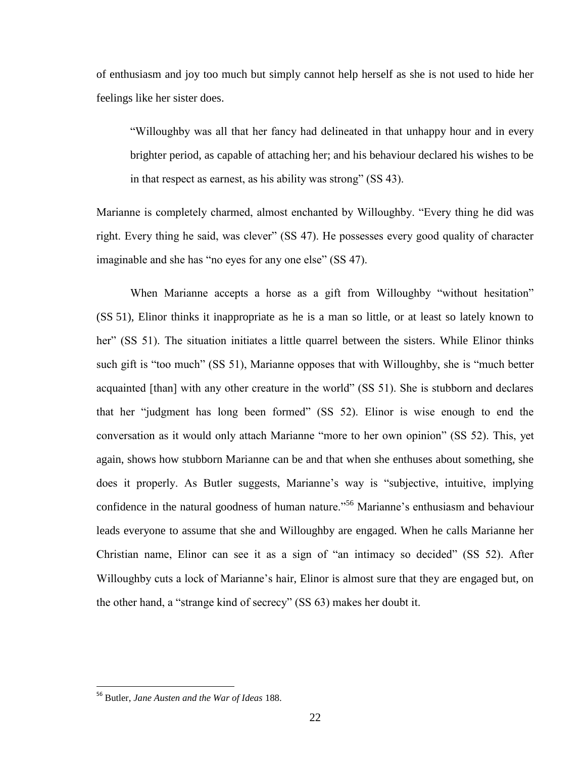of enthusiasm and joy too much but simply cannot help herself as she is not used to hide her feelings like her sister does.

"Willoughby was all that her fancy had delineated in that unhappy hour and in every brighter period, as capable of attaching her; and his behaviour declared his wishes to be in that respect as earnest, as his ability was strong" (SS 43).

Marianne is completely charmed, almost enchanted by Willoughby. "Every thing he did was right. Every thing he said, was clever" (SS 47). He possesses every good quality of character imaginable and she has "no eyes for any one else" (SS 47).

When Marianne accepts a horse as a gift from Willoughby "without hesitation" (SS 51), Elinor thinks it inappropriate as he is a man so little, or at least so lately known to her" (SS 51). The situation initiates a little quarrel between the sisters. While Elinor thinks such gift is "too much" (SS 51), Marianne opposes that with Willoughby, she is "much better acquainted [than] with any other creature in the world" (SS 51). She is stubborn and declares that her "judgment has long been formed" (SS 52). Elinor is wise enough to end the conversation as it would only attach Marianne "more to her own opinion" (SS 52). This, yet again, shows how stubborn Marianne can be and that when she enthuses about something, she does it properly. As Butler suggests, Marianne's way is "subjective, intuitive, implying confidence in the natural goodness of human nature."<sup>56</sup> Marianne's enthusiasm and behaviour leads everyone to assume that she and Willoughby are engaged. When he calls Marianne her Christian name, Elinor can see it as a sign of "an intimacy so decided" (SS 52). After Willoughby cuts a lock of Marianne's hair, Elinor is almost sure that they are engaged but, on the other hand, a "strange kind of secrecy" (SS 63) makes her doubt it.

<sup>56</sup> Butler, *Jane Austen and the War of Ideas* 188.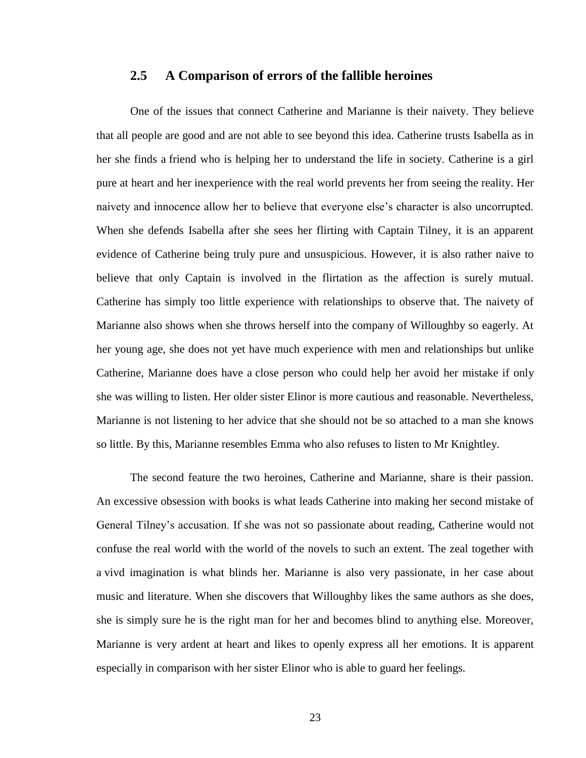# <span id="page-22-0"></span>**2.5 A Comparison of errors of the fallible heroines**

One of the issues that connect Catherine and Marianne is their naivety. They believe that all people are good and are not able to see beyond this idea. Catherine trusts Isabella as in her she finds a friend who is helping her to understand the life in society. Catherine is a girl pure at heart and her inexperience with the real world prevents her from seeing the reality. Her naivety and innocence allow her to believe that everyone else"s character is also uncorrupted. When she defends Isabella after she sees her flirting with Captain Tilney, it is an apparent evidence of Catherine being truly pure and unsuspicious. However, it is also rather naive to believe that only Captain is involved in the flirtation as the affection is surely mutual. Catherine has simply too little experience with relationships to observe that. The naivety of Marianne also shows when she throws herself into the company of Willoughby so eagerly. At her young age, she does not yet have much experience with men and relationships but unlike Catherine, Marianne does have a close person who could help her avoid her mistake if only she was willing to listen. Her older sister Elinor is more cautious and reasonable. Nevertheless, Marianne is not listening to her advice that she should not be so attached to a man she knows so little. By this, Marianne resembles Emma who also refuses to listen to Mr Knightley.

The second feature the two heroines, Catherine and Marianne, share is their passion. An excessive obsession with books is what leads Catherine into making her second mistake of General Tilney"s accusation. If she was not so passionate about reading, Catherine would not confuse the real world with the world of the novels to such an extent. The zeal together with a vivd imagination is what blinds her. Marianne is also very passionate, in her case about music and literature. When she discovers that Willoughby likes the same authors as she does, she is simply sure he is the right man for her and becomes blind to anything else. Moreover, Marianne is very ardent at heart and likes to openly express all her emotions. It is apparent especially in comparison with her sister Elinor who is able to guard her feelings.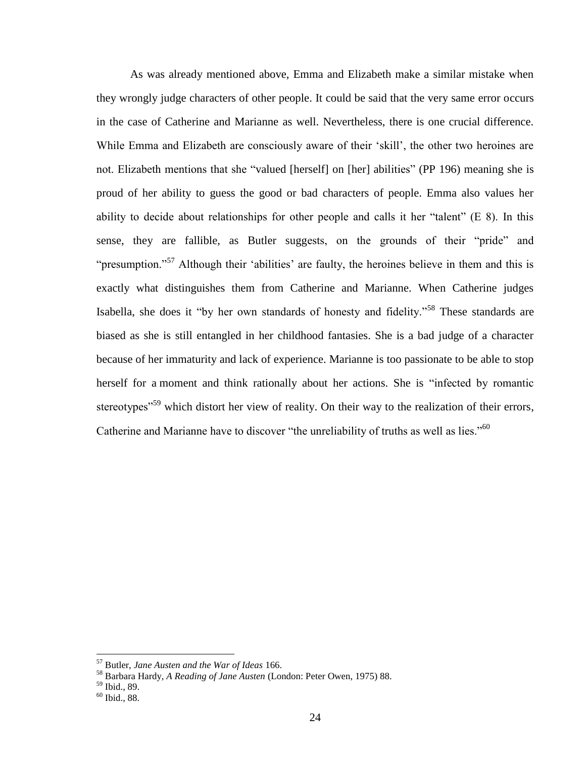As was already mentioned above, Emma and Elizabeth make a similar mistake when they wrongly judge characters of other people. It could be said that the very same error occurs in the case of Catherine and Marianne as well. Nevertheless, there is one crucial difference. While Emma and Elizabeth are consciously aware of their 'skill', the other two heroines are not. Elizabeth mentions that she "valued [herself] on [her] abilities" (PP 196) meaning she is proud of her ability to guess the good or bad characters of people. Emma also values her ability to decide about relationships for other people and calls it her "talent" (E 8). In this sense, they are fallible, as Butler suggests, on the grounds of their "pride" and "presumption."<sup>57</sup> Although their 'abilities' are faulty, the heroines believe in them and this is exactly what distinguishes them from Catherine and Marianne. When Catherine judges Isabella, she does it "by her own standards of honesty and fidelity."<sup>58</sup> These standards are biased as she is still entangled in her childhood fantasies. She is a bad judge of a character because of her immaturity and lack of experience. Marianne is too passionate to be able to stop herself for a moment and think rationally about her actions. She is "infected by romantic stereotypes<sup>"59</sup> which distort her view of reality. On their way to the realization of their errors, Catherine and Marianne have to discover "the unreliability of truths as well as lies."<sup>60</sup>

<sup>57</sup> Butler, *Jane Austen and the War of Ideas* 166.

<sup>58</sup> Barbara Hardy, *A Reading of Jane Austen* (London: Peter Owen, 1975) 88.

 $59$  Ibid., 89.

<sup>60</sup> Ibid., 88.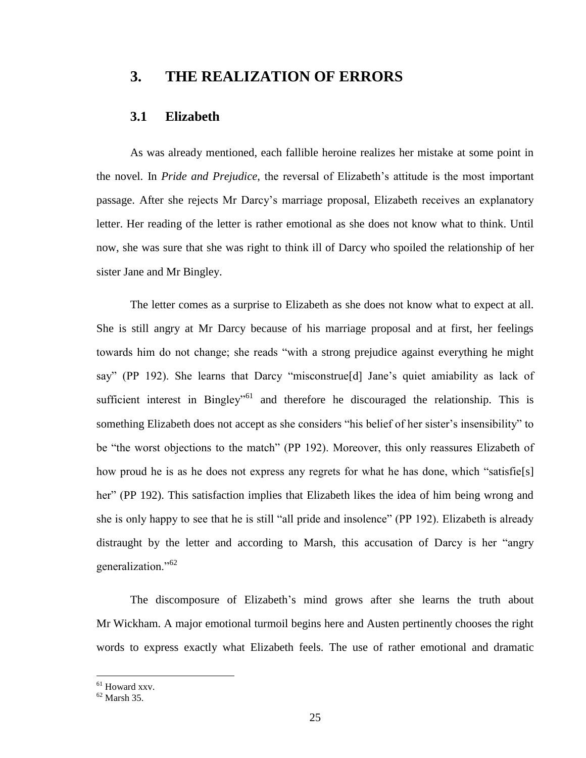# <span id="page-24-0"></span>**3. THE REALIZATION OF ERRORS**

## <span id="page-24-1"></span>**3.1 Elizabeth**

As was already mentioned, each fallible heroine realizes her mistake at some point in the novel. In *Pride and Prejudice*, the reversal of Elizabeth"s attitude is the most important passage. After she rejects Mr Darcy"s marriage proposal, Elizabeth receives an explanatory letter. Her reading of the letter is rather emotional as she does not know what to think. Until now, she was sure that she was right to think ill of Darcy who spoiled the relationship of her sister Jane and Mr Bingley.

The letter comes as a surprise to Elizabeth as she does not know what to expect at all. She is still angry at Mr Darcy because of his marriage proposal and at first, her feelings towards him do not change; she reads "with a strong prejudice against everything he might say" (PP 192). She learns that Darcy "misconstrue<sup>[d]</sup> Jane's quiet amiability as lack of sufficient interest in Bingley<sup> $,61$ </sup> and therefore he discouraged the relationship. This is something Elizabeth does not accept as she considers "his belief of her sister's insensibility" to be "the worst objections to the match" (PP 192). Moreover, this only reassures Elizabeth of how proud he is as he does not express any regrets for what he has done, which "satisfie[s] her" (PP 192). This satisfaction implies that Elizabeth likes the idea of him being wrong and she is only happy to see that he is still "all pride and insolence" (PP 192). Elizabeth is already distraught by the letter and according to Marsh, this accusation of Darcy is her "angry generalization."<sup>62</sup>

The discomposure of Elizabeth"s mind grows after she learns the truth about Mr Wickham. A major emotional turmoil begins here and Austen pertinently chooses the right words to express exactly what Elizabeth feels. The use of rather emotional and dramatic

<sup>&</sup>lt;sup>61</sup> Howard xxv.

 $62$  Marsh 35.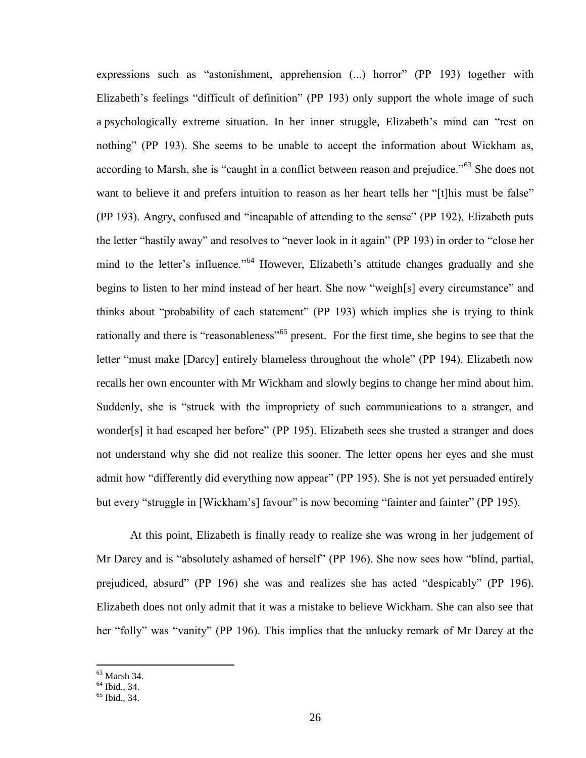expressions such as "astonishment, apprehension (...) horror" (PP 193) together with Elizabeth's feelings "difficult of definition" (PP 193) only support the whole image of such a psychologically extreme situation. In her inner struggle, Elizabeth"s mind can "rest on nothing" (PP 193). She seems to be unable to accept the information about Wickham as, according to Marsh, she is "caught in a conflict between reason and prejudice."<sup>63</sup> She does not want to believe it and prefers intuition to reason as her heart tells her "[t]his must be false" (PP 193). Angry, confused and "incapable of attending to the sense" (PP 192), Elizabeth puts the letter "hastily away" and resolves to "never look in it again" (PP 193) in order to "close her mind to the letter's influence."<sup>64</sup> However, Elizabeth's attitude changes gradually and she begins to listen to her mind instead of her heart. She now "weigh[s] every circumstance" and thinks about "probability of each statement" (PP 193) which implies she is trying to think rationally and there is "reasonableness"<sup>65</sup> present. For the first time, she begins to see that the letter "must make [Darcy] entirely blameless throughout the whole" (PP 194). Elizabeth now recalls her own encounter with Mr Wickham and slowly begins to change her mind about him. Suddenly, she is "struck with the impropriety of such communications to a stranger, and wonder[s] it had escaped her before" (PP 195). Elizabeth sees she trusted a stranger and does not understand why she did not realize this sooner. The letter opens her eyes and she must admit how "differently did everything now appear" (PP 195). She is not yet persuaded entirely but every "struggle in [Wickham's] favour" is now becoming "fainter and fainter" (PP 195).

At this point, Elizabeth is finally ready to realize she was wrong in her judgement of Mr Darcy and is "absolutely ashamed of herself" (PP 196). She now sees how "blind, partial, prejudiced, absurd" (PP 196) she was and realizes she has acted "despicably" (PP 196). Elizabeth does not only admit that it was a mistake to believe Wickham. She can also see that her "folly" was "vanity" (PP 196). This implies that the unlucky remark of Mr Darcy at the

<sup>63</sup> Marsh 34.

<sup>64</sup> Ibid., 34.

<sup>65</sup> Ibid., 34.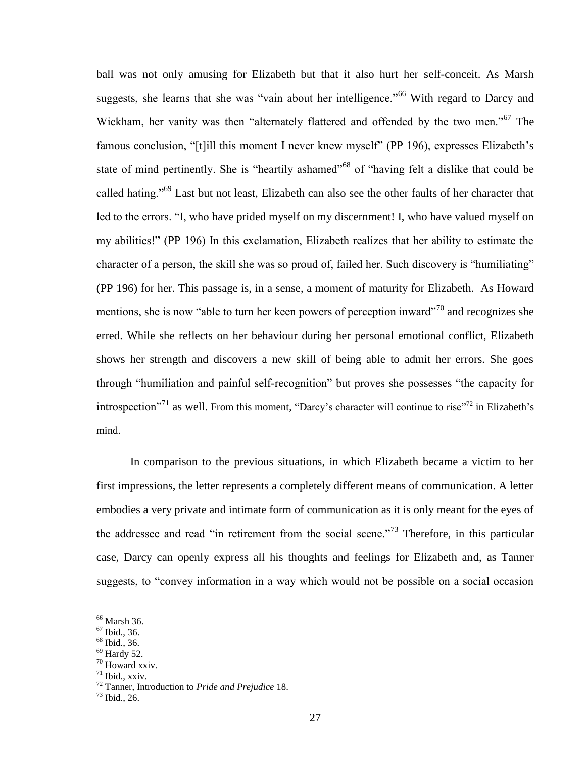ball was not only amusing for Elizabeth but that it also hurt her self-conceit. As Marsh suggests, she learns that she was "vain about her intelligence."<sup>66</sup> With regard to Darcy and Wickham, her vanity was then "alternately flattered and offended by the two men."<sup>67</sup> The famous conclusion, "[t]ill this moment I never knew myself" (PP 196), expresses Elizabeth's state of mind pertinently. She is "heartily ashamed"<sup>68</sup> of "having felt a dislike that could be called hating."<sup>69</sup> Last but not least, Elizabeth can also see the other faults of her character that led to the errors. "I, who have prided myself on my discernment! I, who have valued myself on my abilities!" (PP 196) In this exclamation, Elizabeth realizes that her ability to estimate the character of a person, the skill she was so proud of, failed her. Such discovery is "humiliating" (PP 196) for her. This passage is, in a sense, a moment of maturity for Elizabeth. As Howard mentions, she is now "able to turn her keen powers of perception inward"<sup>70</sup> and recognizes she erred. While she reflects on her behaviour during her personal emotional conflict, Elizabeth shows her strength and discovers a new skill of being able to admit her errors. She goes through "humiliation and painful self-recognition" but proves she possesses "the capacity for introspection<sup>"71</sup> as well. From this moment, "Darcy's character will continue to rise"<sup>72</sup> in Elizabeth's mind.

In comparison to the previous situations, in which Elizabeth became a victim to her first impressions, the letter represents a completely different means of communication. A letter embodies a very private and intimate form of communication as it is only meant for the eyes of the addressee and read "in retirement from the social scene."<sup>73</sup> Therefore, in this particular case, Darcy can openly express all his thoughts and feelings for Elizabeth and, as Tanner suggests, to "convey information in a way which would not be possible on a social occasion

<sup>67</sup> Ibid., 36.

 $\overline{a}$ 

- <sup>68</sup> Ibid., 36.
- $69$  Hardy 52.

 $71$  Ibid., xxiv.

<sup>66</sup> Marsh 36.

<sup>70</sup> Howard xxiv.

<sup>72</sup> Tanner, Introduction to *Pride and Prejudice* 18.

 $73$  Ibid., 26.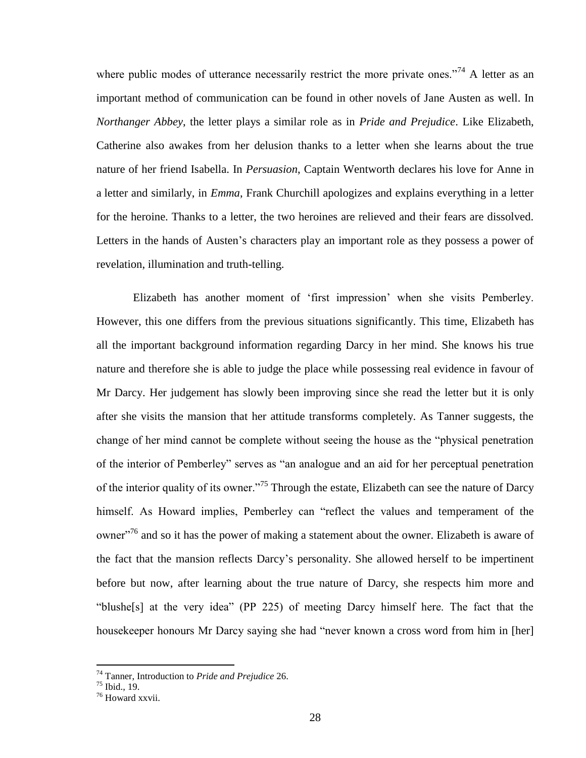where public modes of utterance necessarily restrict the more private ones."<sup>74</sup> A letter as an important method of communication can be found in other novels of Jane Austen as well. In *Northanger Abbey*, the letter plays a similar role as in *Pride and Prejudice*. Like Elizabeth, Catherine also awakes from her delusion thanks to a letter when she learns about the true nature of her friend Isabella. In *Persuasion*, Captain Wentworth declares his love for Anne in a letter and similarly, in *Emma*, Frank Churchill apologizes and explains everything in a letter for the heroine. Thanks to a letter, the two heroines are relieved and their fears are dissolved. Letters in the hands of Austen's characters play an important role as they possess a power of revelation, illumination and truth-telling.

Elizabeth has another moment of "first impression" when she visits Pemberley. However, this one differs from the previous situations significantly. This time, Elizabeth has all the important background information regarding Darcy in her mind. She knows his true nature and therefore she is able to judge the place while possessing real evidence in favour of Mr Darcy. Her judgement has slowly been improving since she read the letter but it is only after she visits the mansion that her attitude transforms completely. As Tanner suggests, the change of her mind cannot be complete without seeing the house as the "physical penetration of the interior of Pemberley" serves as "an analogue and an aid for her perceptual penetration of the interior quality of its owner."<sup>75</sup> Through the estate, Elizabeth can see the nature of Darcy himself. As Howard implies, Pemberley can "reflect the values and temperament of the owner<sup>,76</sup> and so it has the power of making a statement about the owner. Elizabeth is aware of the fact that the mansion reflects Darcy"s personality. She allowed herself to be impertinent before but now, after learning about the true nature of Darcy, she respects him more and "blushe[s] at the very idea" (PP 225) of meeting Darcy himself here. The fact that the housekeeper honours Mr Darcy saying she had "never known a cross word from him in [her]

<sup>74</sup> Tanner, Introduction to *Pride and Prejudice* 26.

 $^{75}$  Ibid., 19.

<sup>76</sup> Howard xxvii.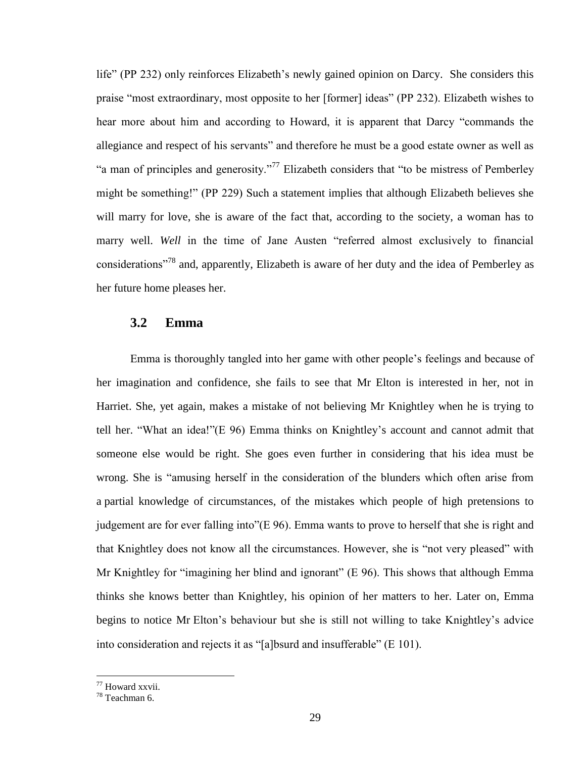life" (PP 232) only reinforces Elizabeth's newly gained opinion on Darcy. She considers this praise "most extraordinary, most opposite to her [former] ideas" (PP 232). Elizabeth wishes to hear more about him and according to Howard, it is apparent that Darcy "commands the allegiance and respect of his servants" and therefore he must be a good estate owner as well as "a man of principles and generosity."<sup>77</sup> Elizabeth considers that "to be mistress of Pemberley might be something!" (PP 229) Such a statement implies that although Elizabeth believes she will marry for love, she is aware of the fact that, according to the society, a woman has to marry well. *Well* in the time of Jane Austen "referred almost exclusively to financial considerations<sup>"78</sup> and, apparently, Elizabeth is aware of her duty and the idea of Pemberley as her future home pleases her.

## <span id="page-28-0"></span>**3.2 Emma**

Emma is thoroughly tangled into her game with other people"s feelings and because of her imagination and confidence, she fails to see that Mr Elton is interested in her, not in Harriet. She, yet again, makes a mistake of not believing Mr Knightley when he is trying to tell her. "What an idea!"(E 96) Emma thinks on Knightley"s account and cannot admit that someone else would be right. She goes even further in considering that his idea must be wrong. She is "amusing herself in the consideration of the blunders which often arise from a partial knowledge of circumstances, of the mistakes which people of high pretensions to judgement are for ever falling into"(E 96). Emma wants to prove to herself that she is right and that Knightley does not know all the circumstances. However, she is "not very pleased" with Mr Knightley for "imagining her blind and ignorant" (E 96). This shows that although Emma thinks she knows better than Knightley, his opinion of her matters to her. Later on, Emma begins to notice Mr Elton's behaviour but she is still not willing to take Knightley's advice into consideration and rejects it as "[a]bsurd and insufferable" (E 101).

<sup>77</sup> Howard xxvii.

<sup>78</sup> Teachman 6.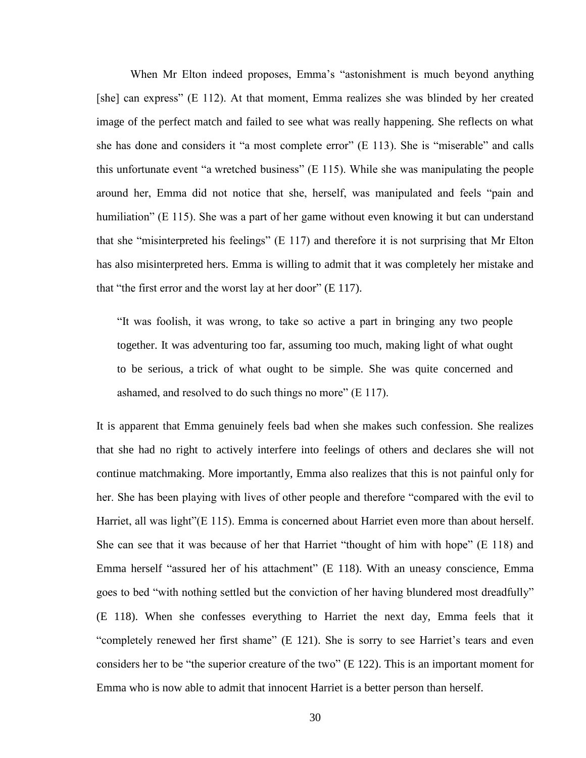When Mr Elton indeed proposes, Emma's "astonishment is much beyond anything [she] can express" (E 112). At that moment, Emma realizes she was blinded by her created image of the perfect match and failed to see what was really happening. She reflects on what she has done and considers it "a most complete error" (E 113). She is "miserable" and calls this unfortunate event "a wretched business" (E 115). While she was manipulating the people around her, Emma did not notice that she, herself, was manipulated and feels "pain and humiliation" (E 115). She was a part of her game without even knowing it but can understand that she "misinterpreted his feelings" (E 117) and therefore it is not surprising that Mr Elton has also misinterpreted hers. Emma is willing to admit that it was completely her mistake and that "the first error and the worst lay at her door" (E 117).

"It was foolish, it was wrong, to take so active a part in bringing any two people together. It was adventuring too far, assuming too much, making light of what ought to be serious, a trick of what ought to be simple. She was quite concerned and ashamed, and resolved to do such things no more" (E 117).

It is apparent that Emma genuinely feels bad when she makes such confession. She realizes that she had no right to actively interfere into feelings of others and declares she will not continue matchmaking. More importantly, Emma also realizes that this is not painful only for her. She has been playing with lives of other people and therefore "compared with the evil to Harriet, all was light"(E 115). Emma is concerned about Harriet even more than about herself. She can see that it was because of her that Harriet "thought of him with hope" (E 118) and Emma herself "assured her of his attachment" (E 118). With an uneasy conscience, Emma goes to bed "with nothing settled but the conviction of her having blundered most dreadfully" (E 118). When she confesses everything to Harriet the next day, Emma feels that it "completely renewed her first shame" (E 121). She is sorry to see Harriet's tears and even considers her to be "the superior creature of the two" (E 122). This is an important moment for Emma who is now able to admit that innocent Harriet is a better person than herself.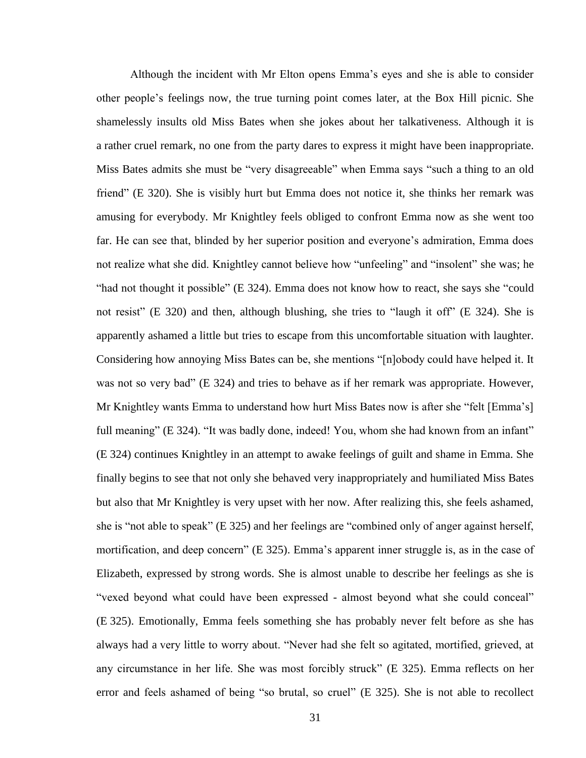Although the incident with Mr Elton opens Emma"s eyes and she is able to consider other people"s feelings now, the true turning point comes later, at the Box Hill picnic. She shamelessly insults old Miss Bates when she jokes about her talkativeness. Although it is a rather cruel remark, no one from the party dares to express it might have been inappropriate. Miss Bates admits she must be "very disagreeable" when Emma says "such a thing to an old friend" (E 320). She is visibly hurt but Emma does not notice it, she thinks her remark was amusing for everybody. Mr Knightley feels obliged to confront Emma now as she went too far. He can see that, blinded by her superior position and everyone"s admiration, Emma does not realize what she did. Knightley cannot believe how "unfeeling" and "insolent" she was; he "had not thought it possible" (E 324). Emma does not know how to react, she says she "could not resist" (E 320) and then, although blushing, she tries to "laugh it off" (E 324). She is apparently ashamed a little but tries to escape from this uncomfortable situation with laughter. Considering how annoying Miss Bates can be, she mentions "[n]obody could have helped it. It was not so very bad" (E 324) and tries to behave as if her remark was appropriate. However, Mr Knightley wants Emma to understand how hurt Miss Bates now is after she "felt [Emma"s] full meaning" (E 324). "It was badly done, indeed! You, whom she had known from an infant" (E 324) continues Knightley in an attempt to awake feelings of guilt and shame in Emma. She finally begins to see that not only she behaved very inappropriately and humiliated Miss Bates but also that Mr Knightley is very upset with her now. After realizing this, she feels ashamed, she is "not able to speak" (E 325) and her feelings are "combined only of anger against herself, mortification, and deep concern" (E 325). Emma's apparent inner struggle is, as in the case of Elizabeth, expressed by strong words. She is almost unable to describe her feelings as she is "vexed beyond what could have been expressed - almost beyond what she could conceal" (E 325). Emotionally, Emma feels something she has probably never felt before as she has always had a very little to worry about. "Never had she felt so agitated, mortified, grieved, at any circumstance in her life. She was most forcibly struck" (E 325). Emma reflects on her error and feels ashamed of being "so brutal, so cruel" (E 325). She is not able to recollect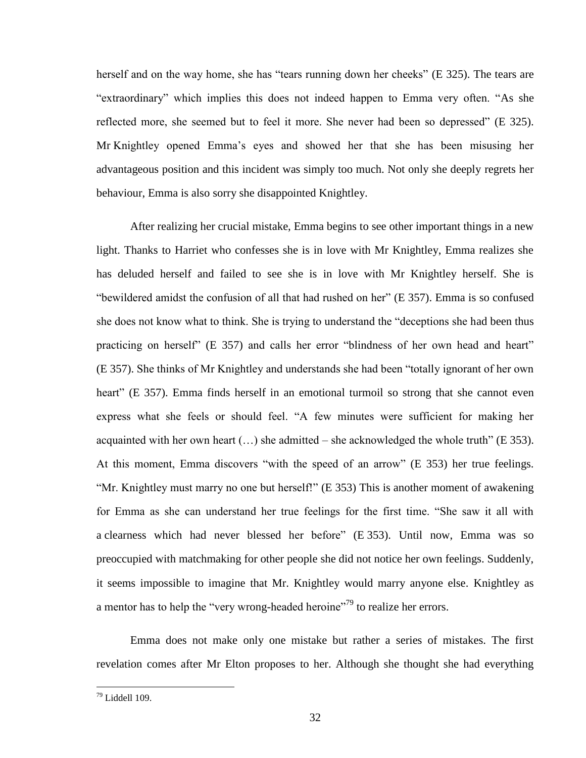herself and on the way home, she has "tears running down her cheeks" (E 325). The tears are "extraordinary" which implies this does not indeed happen to Emma very often. "As she reflected more, she seemed but to feel it more. She never had been so depressed" (E 325). Mr Knightley opened Emma"s eyes and showed her that she has been misusing her advantageous position and this incident was simply too much. Not only she deeply regrets her behaviour, Emma is also sorry she disappointed Knightley.

After realizing her crucial mistake, Emma begins to see other important things in a new light. Thanks to Harriet who confesses she is in love with Mr Knightley, Emma realizes she has deluded herself and failed to see she is in love with Mr Knightley herself. She is "bewildered amidst the confusion of all that had rushed on her" (E 357). Emma is so confused she does not know what to think. She is trying to understand the "deceptions she had been thus practicing on herself" (E 357) and calls her error "blindness of her own head and heart" (E 357). She thinks of Mr Knightley and understands she had been "totally ignorant of her own heart" (E 357). Emma finds herself in an emotional turmoil so strong that she cannot even express what she feels or should feel. "A few minutes were sufficient for making her acquainted with her own heart  $(...)$  she admitted – she acknowledged the whole truth" (E 353). At this moment, Emma discovers "with the speed of an arrow" (E 353) her true feelings. "Mr. Knightley must marry no one but herself!" (E 353) This is another moment of awakening for Emma as she can understand her true feelings for the first time. "She saw it all with a clearness which had never blessed her before" (E 353). Until now, Emma was so preoccupied with matchmaking for other people she did not notice her own feelings. Suddenly, it seems impossible to imagine that Mr. Knightley would marry anyone else. Knightley as a mentor has to help the "very wrong-headed heroine"<sup>79</sup> to realize her errors.

Emma does not make only one mistake but rather a series of mistakes. The first revelation comes after Mr Elton proposes to her. Although she thought she had everything

<sup>79</sup> Liddell 109.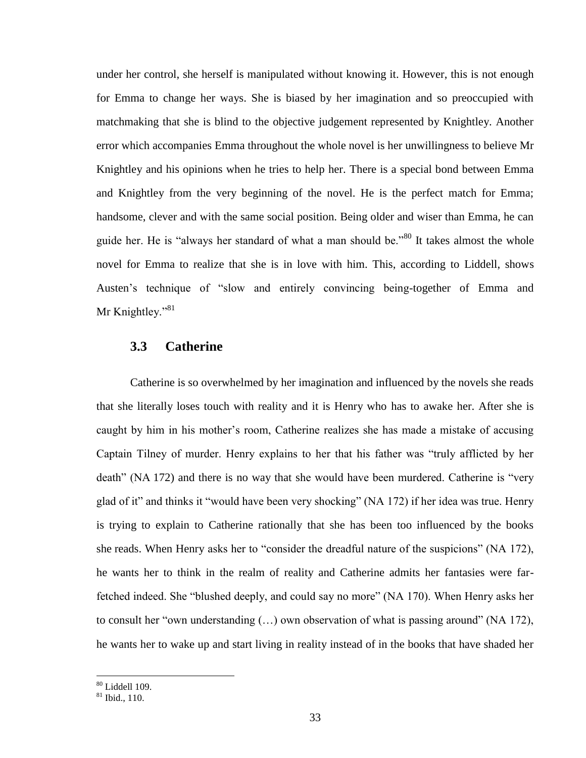under her control, she herself is manipulated without knowing it. However, this is not enough for Emma to change her ways. She is biased by her imagination and so preoccupied with matchmaking that she is blind to the objective judgement represented by Knightley. Another error which accompanies Emma throughout the whole novel is her unwillingness to believe Mr Knightley and his opinions when he tries to help her. There is a special bond between Emma and Knightley from the very beginning of the novel. He is the perfect match for Emma; handsome, clever and with the same social position. Being older and wiser than Emma, he can guide her. He is "always her standard of what a man should be."<sup>80</sup> It takes almost the whole novel for Emma to realize that she is in love with him. This, according to Liddell, shows Austen's technique of "slow and entirely convincing being-together of Emma and Mr Knightley."<sup>81</sup>

#### <span id="page-32-0"></span>**3.3 Catherine**

Catherine is so overwhelmed by her imagination and influenced by the novels she reads that she literally loses touch with reality and it is Henry who has to awake her. After she is caught by him in his mother"s room, Catherine realizes she has made a mistake of accusing Captain Tilney of murder. Henry explains to her that his father was "truly afflicted by her death" (NA 172) and there is no way that she would have been murdered. Catherine is "very glad of it" and thinks it "would have been very shocking" (NA 172) if her idea was true. Henry is trying to explain to Catherine rationally that she has been too influenced by the books she reads. When Henry asks her to "consider the dreadful nature of the suspicions" (NA 172), he wants her to think in the realm of reality and Catherine admits her fantasies were farfetched indeed. She "blushed deeply, and could say no more" (NA 170). When Henry asks her to consult her "own understanding (…) own observation of what is passing around" (NA 172), he wants her to wake up and start living in reality instead of in the books that have shaded her

<sup>80</sup> Liddell 109.

 $81$  Ibid., 110.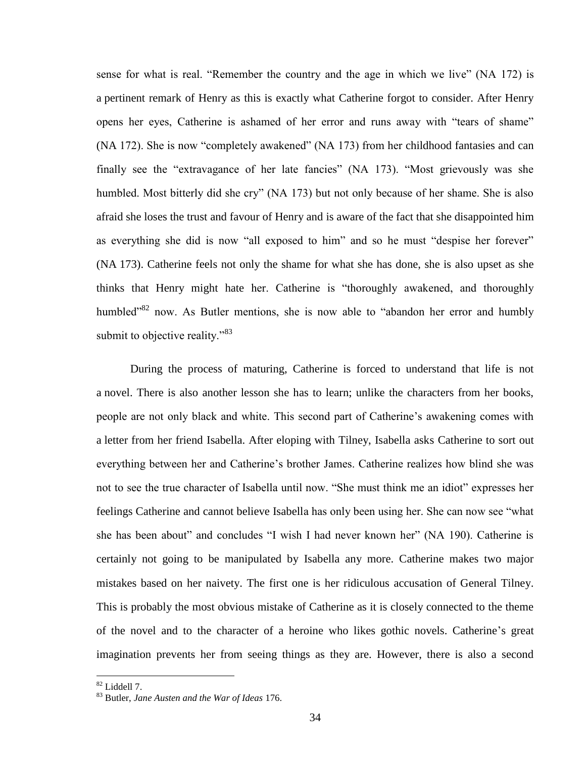sense for what is real. "Remember the country and the age in which we live" (NA 172) is a pertinent remark of Henry as this is exactly what Catherine forgot to consider. After Henry opens her eyes, Catherine is ashamed of her error and runs away with "tears of shame" (NA 172). She is now "completely awakened" (NA 173) from her childhood fantasies and can finally see the "extravagance of her late fancies" (NA 173). "Most grievously was she humbled. Most bitterly did she cry" (NA 173) but not only because of her shame. She is also afraid she loses the trust and favour of Henry and is aware of the fact that she disappointed him as everything she did is now "all exposed to him" and so he must "despise her forever" (NA 173). Catherine feels not only the shame for what she has done, she is also upset as she thinks that Henry might hate her. Catherine is "thoroughly awakened, and thoroughly humbled<sup>382</sup> now. As Butler mentions, she is now able to "abandon her error and humbly submit to objective reality."<sup>83</sup>

During the process of maturing, Catherine is forced to understand that life is not a novel. There is also another lesson she has to learn; unlike the characters from her books, people are not only black and white. This second part of Catherine"s awakening comes with a letter from her friend Isabella. After eloping with Tilney, Isabella asks Catherine to sort out everything between her and Catherine"s brother James. Catherine realizes how blind she was not to see the true character of Isabella until now. "She must think me an idiot" expresses her feelings Catherine and cannot believe Isabella has only been using her. She can now see "what she has been about" and concludes "I wish I had never known her" (NA 190). Catherine is certainly not going to be manipulated by Isabella any more. Catherine makes two major mistakes based on her naivety. The first one is her ridiculous accusation of General Tilney. This is probably the most obvious mistake of Catherine as it is closely connected to the theme of the novel and to the character of a heroine who likes gothic novels. Catherine"s great imagination prevents her from seeing things as they are. However, there is also a second

 $82$  Liddell 7.

<sup>83</sup> Butler, *Jane Austen and the War of Ideas* 176.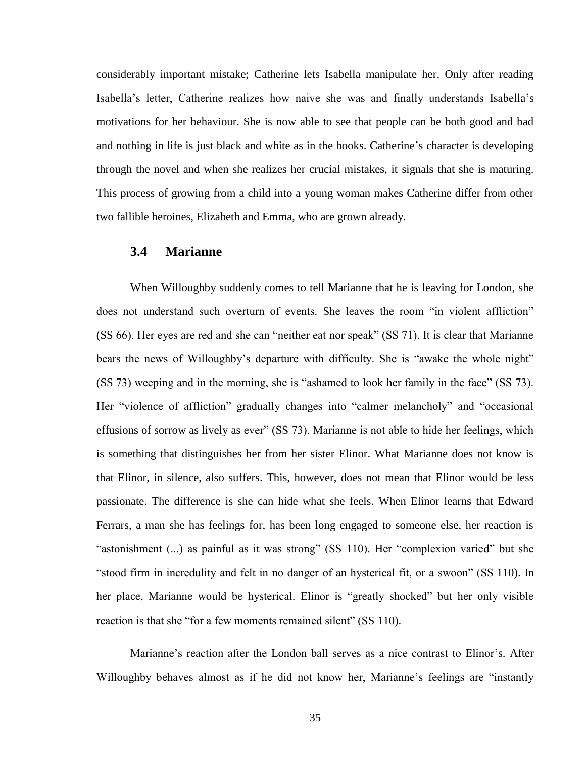considerably important mistake; Catherine lets Isabella manipulate her. Only after reading Isabella"s letter, Catherine realizes how naive she was and finally understands Isabella"s motivations for her behaviour. She is now able to see that people can be both good and bad and nothing in life is just black and white as in the books. Catherine's character is developing through the novel and when she realizes her crucial mistakes, it signals that she is maturing. This process of growing from a child into a young woman makes Catherine differ from other two fallible heroines, Elizabeth and Emma, who are grown already.

### <span id="page-34-0"></span>**3.4 Marianne**

When Willoughby suddenly comes to tell Marianne that he is leaving for London, she does not understand such overturn of events. She leaves the room "in violent affliction" (SS 66). Her eyes are red and she can "neither eat nor speak" (SS 71). It is clear that Marianne bears the news of Willoughby"s departure with difficulty. She is "awake the whole night" (SS 73) weeping and in the morning, she is "ashamed to look her family in the face" (SS 73). Her "violence of affliction" gradually changes into "calmer melancholy" and "occasional effusions of sorrow as lively as ever" (SS 73). Marianne is not able to hide her feelings, which is something that distinguishes her from her sister Elinor. What Marianne does not know is that Elinor, in silence, also suffers. This, however, does not mean that Elinor would be less passionate. The difference is she can hide what she feels. When Elinor learns that Edward Ferrars, a man she has feelings for, has been long engaged to someone else, her reaction is "astonishment (...) as painful as it was strong" (SS 110). Her "complexion varied" but she "stood firm in incredulity and felt in no danger of an hysterical fit, or a swoon" (SS 110). In her place, Marianne would be hysterical. Elinor is "greatly shocked" but her only visible reaction is that she "for a few moments remained silent" (SS 110).

Marianne's reaction after the London ball serves as a nice contrast to Elinor's. After Willoughby behaves almost as if he did not know her, Marianne's feelings are "instantly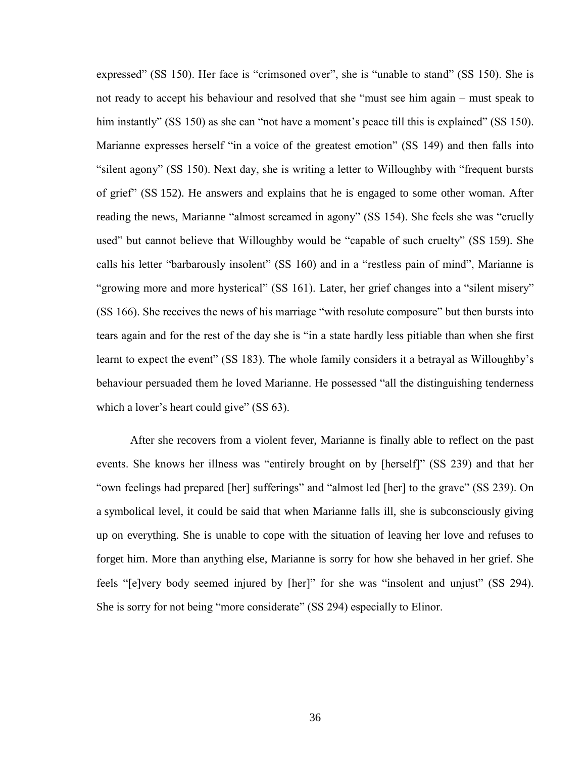expressed" (SS 150). Her face is "crimsoned over", she is "unable to stand" (SS 150). She is not ready to accept his behaviour and resolved that she "must see him again – must speak to him instantly" (SS 150) as she can "not have a moment's peace till this is explained" (SS 150). Marianne expresses herself "in a voice of the greatest emotion" (SS 149) and then falls into "silent agony" (SS 150). Next day, she is writing a letter to Willoughby with "frequent bursts of grief" (SS 152). He answers and explains that he is engaged to some other woman. After reading the news, Marianne "almost screamed in agony" (SS 154). She feels she was "cruelly used" but cannot believe that Willoughby would be "capable of such cruelty" (SS 159). She calls his letter "barbarously insolent" (SS 160) and in a "restless pain of mind", Marianne is "growing more and more hysterical" (SS 161). Later, her grief changes into a "silent misery" (SS 166). She receives the news of his marriage "with resolute composure" but then bursts into tears again and for the rest of the day she is "in a state hardly less pitiable than when she first learnt to expect the event" (SS 183). The whole family considers it a betrayal as Willoughby's behaviour persuaded them he loved Marianne. He possessed "all the distinguishing tenderness which a lover's heart could give" (SS 63).

After she recovers from a violent fever, Marianne is finally able to reflect on the past events. She knows her illness was "entirely brought on by [herself]" (SS 239) and that her "own feelings had prepared [her] sufferings" and "almost led [her] to the grave" (SS 239). On a symbolical level, it could be said that when Marianne falls ill, she is subconsciously giving up on everything. She is unable to cope with the situation of leaving her love and refuses to forget him. More than anything else, Marianne is sorry for how she behaved in her grief. She feels "[e]very body seemed injured by [her]" for she was "insolent and unjust" (SS 294). She is sorry for not being "more considerate" (SS 294) especially to Elinor.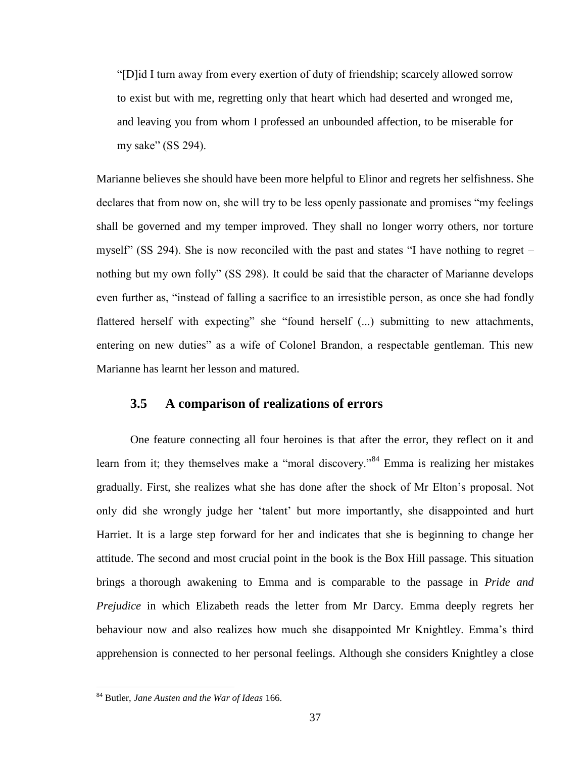"[D]id I turn away from every exertion of duty of friendship; scarcely allowed sorrow to exist but with me, regretting only that heart which had deserted and wronged me, and leaving you from whom I professed an unbounded affection, to be miserable for my sake" (SS 294).

Marianne believes she should have been more helpful to Elinor and regrets her selfishness. She declares that from now on, she will try to be less openly passionate and promises "my feelings shall be governed and my temper improved. They shall no longer worry others, nor torture myself" (SS 294). She is now reconciled with the past and states "I have nothing to regret – nothing but my own folly" (SS 298). It could be said that the character of Marianne develops even further as, "instead of falling a sacrifice to an irresistible person, as once she had fondly flattered herself with expecting" she "found herself (...) submitting to new attachments, entering on new duties" as a wife of Colonel Brandon, a respectable gentleman. This new Marianne has learnt her lesson and matured.

### <span id="page-36-0"></span>**3.5 A comparison of realizations of errors**

One feature connecting all four heroines is that after the error, they reflect on it and learn from it; they themselves make a "moral discovery."<sup>84</sup> Emma is realizing her mistakes gradually. First, she realizes what she has done after the shock of Mr Elton"s proposal. Not only did she wrongly judge her "talent" but more importantly, she disappointed and hurt Harriet. It is a large step forward for her and indicates that she is beginning to change her attitude. The second and most crucial point in the book is the Box Hill passage. This situation brings a thorough awakening to Emma and is comparable to the passage in *Pride and Prejudice* in which Elizabeth reads the letter from Mr Darcy. Emma deeply regrets her behaviour now and also realizes how much she disappointed Mr Knightley. Emma's third apprehension is connected to her personal feelings. Although she considers Knightley a close

<sup>84</sup> Butler, *Jane Austen and the War of Ideas* 166.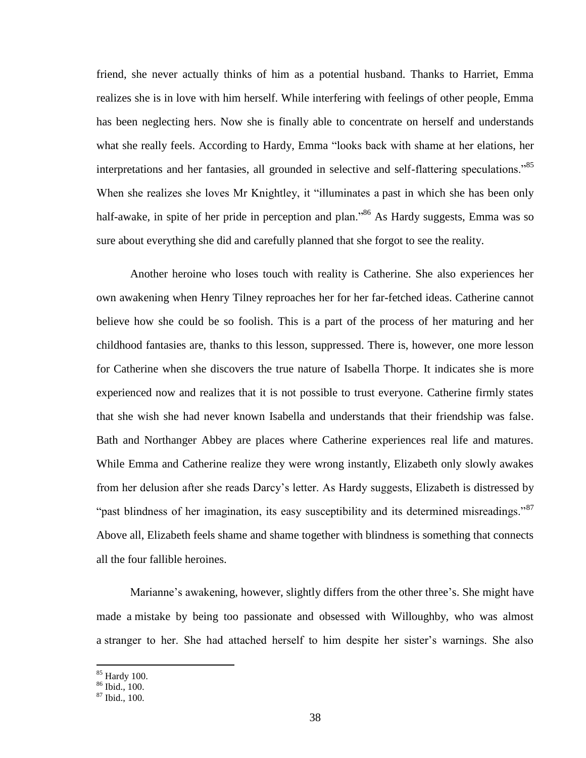friend, she never actually thinks of him as a potential husband. Thanks to Harriet, Emma realizes she is in love with him herself. While interfering with feelings of other people, Emma has been neglecting hers. Now she is finally able to concentrate on herself and understands what she really feels. According to Hardy, Emma "looks back with shame at her elations, her interpretations and her fantasies, all grounded in selective and self-flattering speculations."<sup>85</sup> When she realizes she loves Mr Knightley, it "illuminates a past in which she has been only half-awake, in spite of her pride in perception and plan."<sup>86</sup> As Hardy suggests, Emma was so sure about everything she did and carefully planned that she forgot to see the reality.

Another heroine who loses touch with reality is Catherine. She also experiences her own awakening when Henry Tilney reproaches her for her far-fetched ideas. Catherine cannot believe how she could be so foolish. This is a part of the process of her maturing and her childhood fantasies are, thanks to this lesson, suppressed. There is, however, one more lesson for Catherine when she discovers the true nature of Isabella Thorpe. It indicates she is more experienced now and realizes that it is not possible to trust everyone. Catherine firmly states that she wish she had never known Isabella and understands that their friendship was false. Bath and Northanger Abbey are places where Catherine experiences real life and matures. While Emma and Catherine realize they were wrong instantly, Elizabeth only slowly awakes from her delusion after she reads Darcy"s letter. As Hardy suggests, Elizabeth is distressed by "past blindness of her imagination, its easy susceptibility and its determined misreadings."<sup>87</sup> Above all, Elizabeth feels shame and shame together with blindness is something that connects all the four fallible heroines.

Marianne's awakening, however, slightly differs from the other three's. She might have made a mistake by being too passionate and obsessed with Willoughby, who was almost a stranger to her. She had attached herself to him despite her sister's warnings. She also

<sup>85</sup> Hardy 100.

<sup>86</sup> Ibid., 100.

<sup>87</sup> Ibid., 100.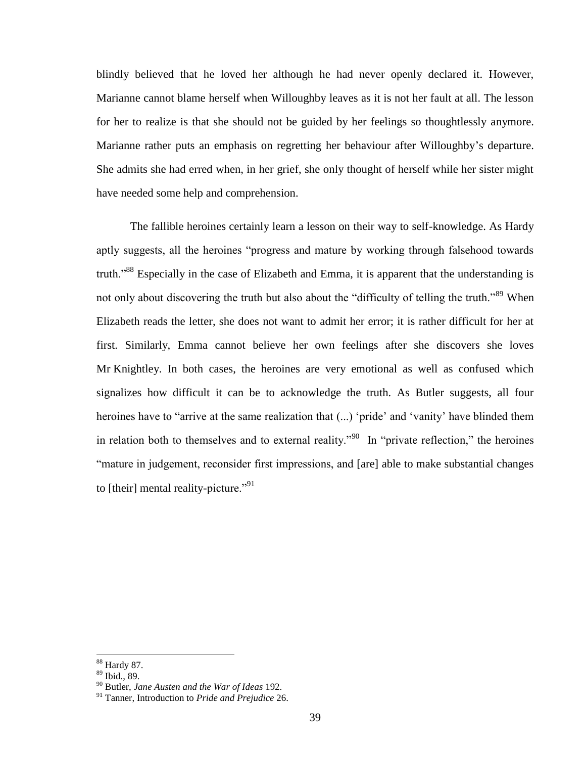blindly believed that he loved her although he had never openly declared it. However, Marianne cannot blame herself when Willoughby leaves as it is not her fault at all. The lesson for her to realize is that she should not be guided by her feelings so thoughtlessly anymore. Marianne rather puts an emphasis on regretting her behaviour after Willoughby"s departure. She admits she had erred when, in her grief, she only thought of herself while her sister might have needed some help and comprehension.

The fallible heroines certainly learn a lesson on their way to self-knowledge. As Hardy aptly suggests, all the heroines "progress and mature by working through falsehood towards truth."<sup>88</sup> Especially in the case of Elizabeth and Emma, it is apparent that the understanding is not only about discovering the truth but also about the "difficulty of telling the truth."<sup>89</sup> When Elizabeth reads the letter, she does not want to admit her error; it is rather difficult for her at first. Similarly, Emma cannot believe her own feelings after she discovers she loves Mr Knightley. In both cases, the heroines are very emotional as well as confused which signalizes how difficult it can be to acknowledge the truth. As Butler suggests, all four heroines have to "arrive at the same realization that  $(...)$  'pride' and 'vanity' have blinded them in relation both to themselves and to external reality."<sup>90</sup> In "private reflection," the heroines "mature in judgement, reconsider first impressions, and [are] able to make substantial changes to [their] mental reality-picture."<sup>91</sup>

<sup>88</sup> Hardy 87.

<sup>89</sup> Ibid., 89.

<sup>90</sup> Butler, *Jane Austen and the War of Ideas* 192.

<sup>91</sup> Tanner, Introduction to *Pride and Prejudice* 26.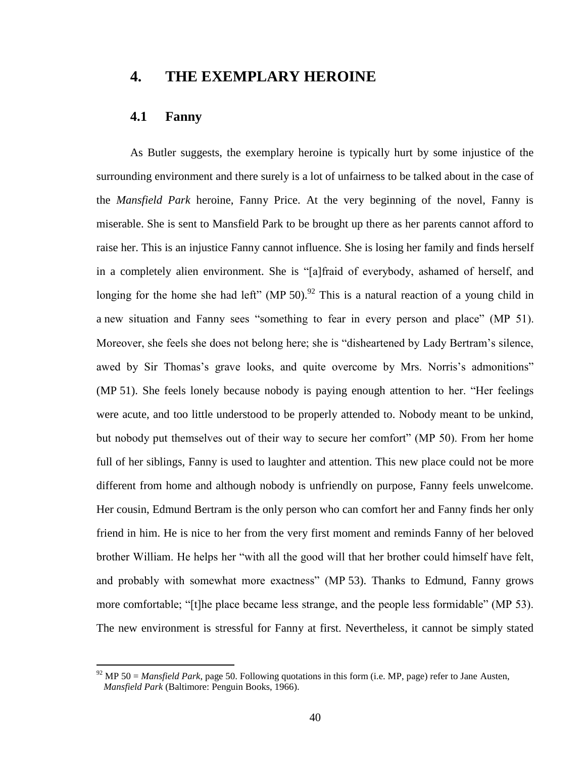# <span id="page-39-0"></span>**4. THE EXEMPLARY HEROINE**

## <span id="page-39-1"></span>**4.1 Fanny**

 $\overline{a}$ 

As Butler suggests, the exemplary heroine is typically hurt by some injustice of the surrounding environment and there surely is a lot of unfairness to be talked about in the case of the *Mansfield Park* heroine, Fanny Price. At the very beginning of the novel, Fanny is miserable. She is sent to Mansfield Park to be brought up there as her parents cannot afford to raise her. This is an injustice Fanny cannot influence. She is losing her family and finds herself in a completely alien environment. She is "[a]fraid of everybody, ashamed of herself, and longing for the home she had left" (MP 50).<sup>92</sup> This is a natural reaction of a young child in a new situation and Fanny sees "something to fear in every person and place" (MP 51). Moreover, she feels she does not belong here; she is "disheartened by Lady Bertram"s silence, awed by Sir Thomas's grave looks, and quite overcome by Mrs. Norris's admonitions" (MP 51). She feels lonely because nobody is paying enough attention to her. "Her feelings were acute, and too little understood to be properly attended to. Nobody meant to be unkind, but nobody put themselves out of their way to secure her comfort" (MP 50). From her home full of her siblings, Fanny is used to laughter and attention. This new place could not be more different from home and although nobody is unfriendly on purpose, Fanny feels unwelcome. Her cousin, Edmund Bertram is the only person who can comfort her and Fanny finds her only friend in him. He is nice to her from the very first moment and reminds Fanny of her beloved brother William. He helps her "with all the good will that her brother could himself have felt, and probably with somewhat more exactness" (MP 53). Thanks to Edmund, Fanny grows more comfortable; "[t]he place became less strange, and the people less formidable" (MP 53). The new environment is stressful for Fanny at first. Nevertheless, it cannot be simply stated

 $92$  MP 50 = *Mansfield Park*, page 50. Following quotations in this form (i.e. MP, page) refer to Jane Austen, *Mansfield Park* (Baltimore: Penguin Books, 1966).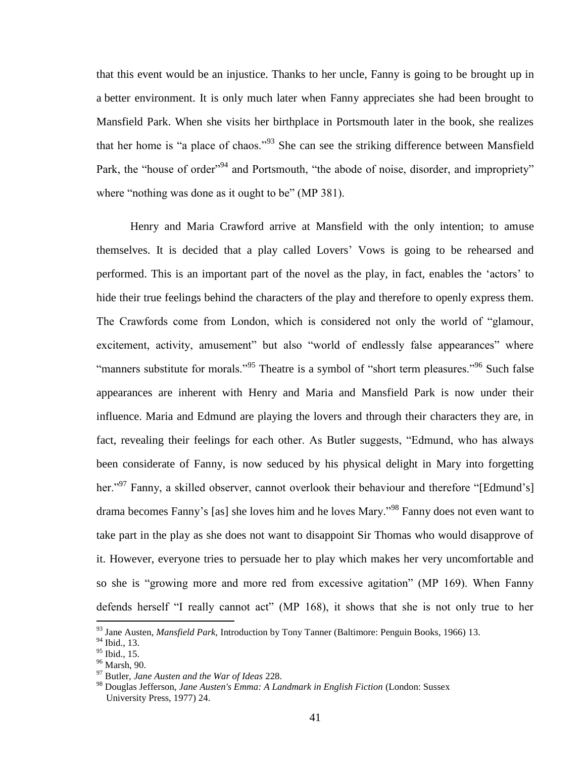that this event would be an injustice. Thanks to her uncle, Fanny is going to be brought up in a better environment. It is only much later when Fanny appreciates she had been brought to Mansfield Park. When she visits her birthplace in Portsmouth later in the book, she realizes that her home is "a place of chaos."<sup>93</sup> She can see the striking difference between Mansfield Park, the "house of order"<sup>94</sup> and Portsmouth, "the abode of noise, disorder, and impropriety" where "nothing was done as it ought to be" (MP 381).

Henry and Maria Crawford arrive at Mansfield with the only intention; to amuse themselves. It is decided that a play called Lovers" Vows is going to be rehearsed and performed. This is an important part of the novel as the play, in fact, enables the "actors" to hide their true feelings behind the characters of the play and therefore to openly express them. The Crawfords come from London, which is considered not only the world of "glamour, excitement, activity, amusement" but also "world of endlessly false appearances" where "manners substitute for morals."<sup>95</sup> Theatre is a symbol of "short term pleasures."<sup>96</sup> Such false appearances are inherent with Henry and Maria and Mansfield Park is now under their influence. Maria and Edmund are playing the lovers and through their characters they are, in fact, revealing their feelings for each other. As Butler suggests, "Edmund, who has always been considerate of Fanny, is now seduced by his physical delight in Mary into forgetting her."<sup>97</sup> Fanny, a skilled observer, cannot overlook their behaviour and therefore "[Edmund's] drama becomes Fanny"s [as] she loves him and he loves Mary."<sup>98</sup> Fanny does not even want to take part in the play as she does not want to disappoint Sir Thomas who would disapprove of it. However, everyone tries to persuade her to play which makes her very uncomfortable and so she is "growing more and more red from excessive agitation" (MP 169). When Fanny defends herself "I really cannot act" (MP 168), it shows that she is not only true to her  $\overline{a}$ 

<sup>93</sup> Jane Austen, *Mansfield Park,* Introduction by Tony Tanner (Baltimore: Penguin Books, 1966) 13.

<sup>94</sup> Ibid., 13.

<sup>95</sup> Ibid., 15.

<sup>96</sup> Marsh, 90.

<sup>97</sup> Butler, *Jane Austen and the War of Ideas* 228.

<sup>98</sup> Douglas Jefferson, *Jane Austen's Emma: A Landmark in English Fiction* (London: Sussex University Press, 1977) 24.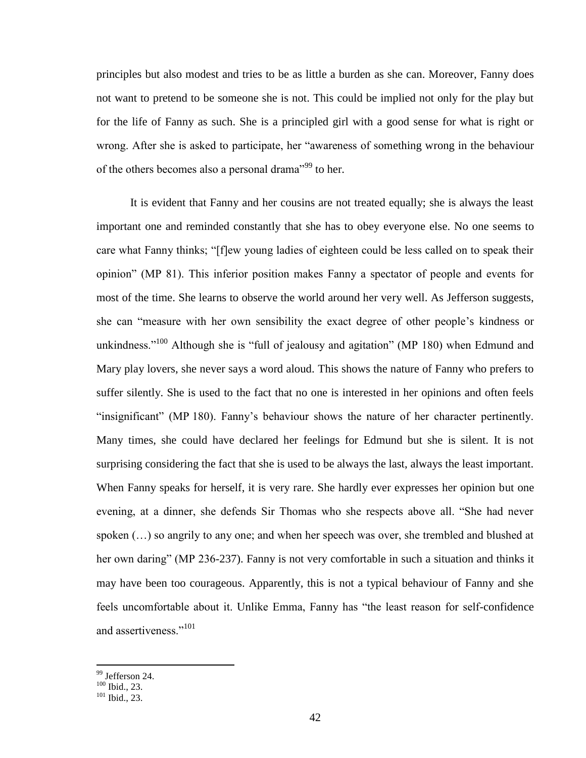principles but also modest and tries to be as little a burden as she can. Moreover, Fanny does not want to pretend to be someone she is not. This could be implied not only for the play but for the life of Fanny as such. She is a principled girl with a good sense for what is right or wrong. After she is asked to participate, her "awareness of something wrong in the behaviour of the others becomes also a personal drama<sup>"99</sup> to her.

It is evident that Fanny and her cousins are not treated equally; she is always the least important one and reminded constantly that she has to obey everyone else. No one seems to care what Fanny thinks; "[f]ew young ladies of eighteen could be less called on to speak their opinion" (MP 81). This inferior position makes Fanny a spectator of people and events for most of the time. She learns to observe the world around her very well. As Jefferson suggests, she can "measure with her own sensibility the exact degree of other people"s kindness or unkindness."<sup>100</sup> Although she is "full of jealousy and agitation" (MP 180) when Edmund and Mary play lovers, she never says a word aloud. This shows the nature of Fanny who prefers to suffer silently. She is used to the fact that no one is interested in her opinions and often feels "insignificant" (MP 180). Fanny"s behaviour shows the nature of her character pertinently. Many times, she could have declared her feelings for Edmund but she is silent. It is not surprising considering the fact that she is used to be always the last, always the least important. When Fanny speaks for herself, it is very rare. She hardly ever expresses her opinion but one evening, at a dinner, she defends Sir Thomas who she respects above all. "She had never spoken (…) so angrily to any one; and when her speech was over, she trembled and blushed at her own daring" (MP 236-237). Fanny is not very comfortable in such a situation and thinks it may have been too courageous. Apparently, this is not a typical behaviour of Fanny and she feels uncomfortable about it. Unlike Emma, Fanny has "the least reason for self-confidence and assertiveness."<sup>101</sup>

<sup>&</sup>lt;sup>99</sup> Jefferson 24.

 $100$  Ibid., 23.

<sup>101</sup> Ibid., 23.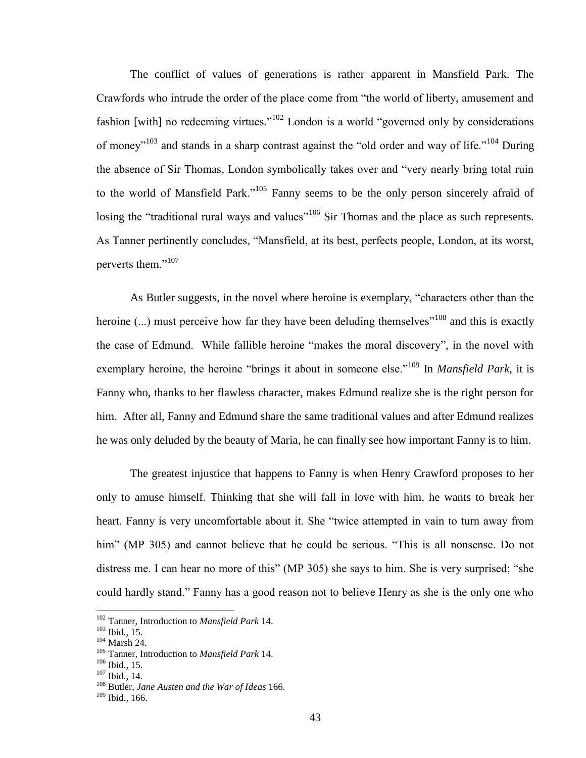The conflict of values of generations is rather apparent in Mansfield Park. The Crawfords who intrude the order of the place come from "the world of liberty, amusement and fashion [with] no redeeming virtues."<sup>102</sup> London is a world "governed only by considerations" of money"<sup>103</sup> and stands in a sharp contrast against the "old order and way of life."<sup>104</sup> During the absence of Sir Thomas, London symbolically takes over and "very nearly bring total ruin to the world of Mansfield Park."<sup>105</sup> Fanny seems to be the only person sincerely afraid of losing the "traditional rural ways and values"<sup>106</sup> Sir Thomas and the place as such represents. As Tanner pertinently concludes, "Mansfield, at its best, perfects people, London, at its worst, perverts them."<sup>107</sup>

As Butler suggests, in the novel where heroine is exemplary, "characters other than the heroine  $(...)$  must perceive how far they have been deluding themselves<sup> $''^{108}$ </sup> and this is exactly the case of Edmund. While fallible heroine "makes the moral discovery", in the novel with exemplary heroine, the heroine "brings it about in someone else."<sup>109</sup> In *Mansfield Park*, it is Fanny who, thanks to her flawless character, makes Edmund realize she is the right person for him. After all, Fanny and Edmund share the same traditional values and after Edmund realizes he was only deluded by the beauty of Maria, he can finally see how important Fanny is to him.

The greatest injustice that happens to Fanny is when Henry Crawford proposes to her only to amuse himself. Thinking that she will fall in love with him, he wants to break her heart. Fanny is very uncomfortable about it. She "twice attempted in vain to turn away from him" (MP 305) and cannot believe that he could be serious. "This is all nonsense. Do not distress me. I can hear no more of this" (MP 305) she says to him. She is very surprised; "she could hardly stand." Fanny has a good reason not to believe Henry as she is the only one who

<sup>102</sup> Tanner, Introduction to *Mansfield Park* 14.

<sup>103</sup> Ibid.*,* 15.

 $104$  Marsh 24.

<sup>105</sup> Tanner, Introduction to *Mansfield Park* 14.

<sup>106</sup> Ibid.*,* 15.

<sup>107</sup> Ibid.*,* 14.

<sup>108</sup> Butler, *Jane Austen and the War of Ideas* 166.

<sup>109</sup> Ibid.*,* 166.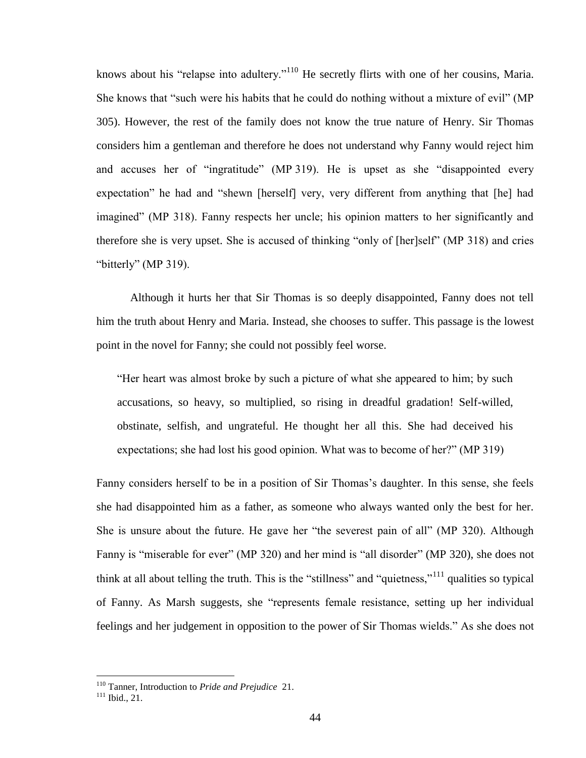knows about his "relapse into adultery."<sup>110</sup> He secretly flirts with one of her cousins, Maria. She knows that "such were his habits that he could do nothing without a mixture of evil" (MP 305). However, the rest of the family does not know the true nature of Henry. Sir Thomas considers him a gentleman and therefore he does not understand why Fanny would reject him and accuses her of "ingratitude" (MP 319). He is upset as she "disappointed every expectation" he had and "shewn [herself] very, very different from anything that [he] had imagined" (MP 318). Fanny respects her uncle; his opinion matters to her significantly and therefore she is very upset. She is accused of thinking "only of [her]self" (MP 318) and cries "bitterly" (MP 319).

Although it hurts her that Sir Thomas is so deeply disappointed, Fanny does not tell him the truth about Henry and Maria. Instead, she chooses to suffer. This passage is the lowest point in the novel for Fanny; she could not possibly feel worse.

"Her heart was almost broke by such a picture of what she appeared to him; by such accusations, so heavy, so multiplied, so rising in dreadful gradation! Self-willed, obstinate, selfish, and ungrateful. He thought her all this. She had deceived his expectations; she had lost his good opinion. What was to become of her?" (MP 319)

Fanny considers herself to be in a position of Sir Thomas's daughter. In this sense, she feels she had disappointed him as a father, as someone who always wanted only the best for her. She is unsure about the future. He gave her "the severest pain of all" (MP 320). Although Fanny is "miserable for ever" (MP 320) and her mind is "all disorder" (MP 320), she does not think at all about telling the truth. This is the "stillness" and "quietness,"<sup>111</sup> qualities so typical of Fanny. As Marsh suggests, she "represents female resistance, setting up her individual feelings and her judgement in opposition to the power of Sir Thomas wields." As she does not

<sup>110</sup> Tanner, Introduction to *Pride and Prejudice* 21.

 $111$  Ibid., 21.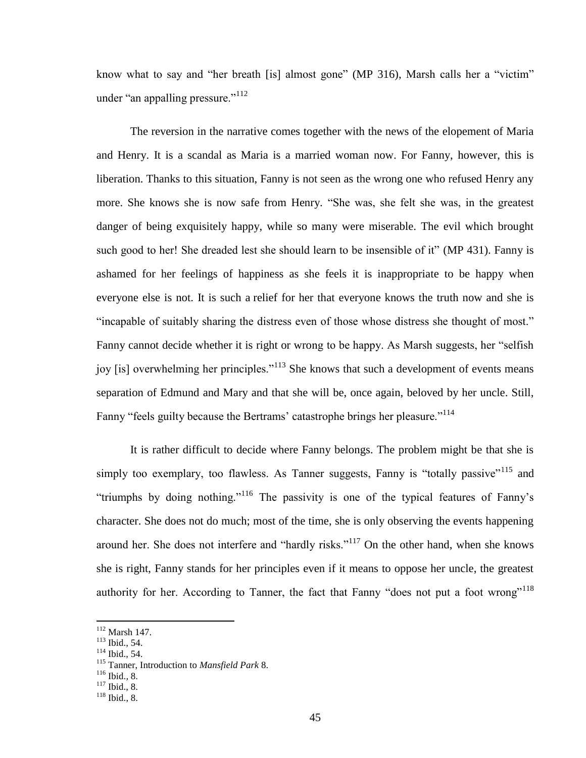know what to say and "her breath [is] almost gone" (MP 316), Marsh calls her a "victim" under "an appalling pressure."<sup>112</sup>

The reversion in the narrative comes together with the news of the elopement of Maria and Henry. It is a scandal as Maria is a married woman now. For Fanny, however, this is liberation. Thanks to this situation, Fanny is not seen as the wrong one who refused Henry any more. She knows she is now safe from Henry. "She was, she felt she was, in the greatest danger of being exquisitely happy, while so many were miserable. The evil which brought such good to her! She dreaded lest she should learn to be insensible of it" (MP 431). Fanny is ashamed for her feelings of happiness as she feels it is inappropriate to be happy when everyone else is not. It is such a relief for her that everyone knows the truth now and she is "incapable of suitably sharing the distress even of those whose distress she thought of most." Fanny cannot decide whether it is right or wrong to be happy. As Marsh suggests, her "selfish joy [is] overwhelming her principles."<sup>113</sup> She knows that such a development of events means separation of Edmund and Mary and that she will be, once again, beloved by her uncle. Still, Fanny "feels guilty because the Bertrams' catastrophe brings her pleasure."<sup>114</sup>

It is rather difficult to decide where Fanny belongs. The problem might be that she is simply too exemplary, too flawless. As Tanner suggests, Fanny is "totally passive"<sup>115</sup> and "triumphs by doing nothing."<sup>116</sup> The passivity is one of the typical features of Fanny"s character. She does not do much; most of the time, she is only observing the events happening around her. She does not interfere and "hardly risks."<sup>117</sup> On the other hand, when she knows she is right, Fanny stands for her principles even if it means to oppose her uncle, the greatest authority for her. According to Tanner, the fact that Fanny "does not put a foot wrong"<sup>118</sup>

 $\overline{a}$ 

<sup>114</sup> Ibid., 54.

 $112$  Marsh 147.

<sup>113</sup> Ibid., 54.

<sup>115</sup> Tanner, Introduction to *Mansfield Park* 8.

<sup>116</sup> Ibid.*,* 8.

<sup>117</sup> Ibid., 8.

<sup>118</sup> Ibid., 8.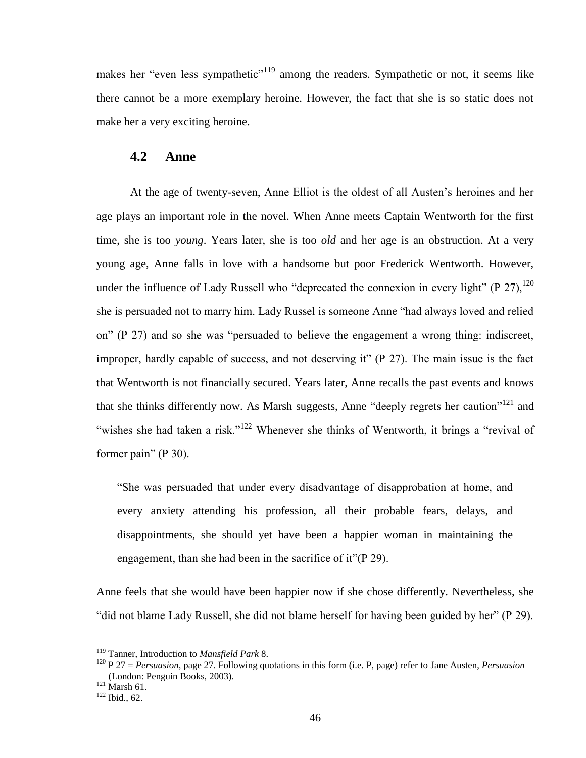makes her "even less sympathetic"<sup>119</sup> among the readers. Sympathetic or not, it seems like there cannot be a more exemplary heroine. However, the fact that she is so static does not make her a very exciting heroine.

### <span id="page-45-0"></span>**4.2 Anne**

At the age of twenty-seven, Anne Elliot is the oldest of all Austen"s heroines and her age plays an important role in the novel. When Anne meets Captain Wentworth for the first time, she is too *young*. Years later, she is too *old* and her age is an obstruction. At a very young age, Anne falls in love with a handsome but poor Frederick Wentworth. However, under the influence of Lady Russell who "deprecated the connexion in every light" (P  $27$ ),  $120$ she is persuaded not to marry him. Lady Russel is someone Anne "had always loved and relied on" (P 27) and so she was "persuaded to believe the engagement a wrong thing: indiscreet, improper, hardly capable of success, and not deserving it" (P 27). The main issue is the fact that Wentworth is not financially secured. Years later, Anne recalls the past events and knows that she thinks differently now. As Marsh suggests, Anne "deeply regrets her caution"<sup>121</sup> and "wishes she had taken a risk."<sup>122</sup> Whenever she thinks of Wentworth, it brings a "revival of former pain" (P 30).

"She was persuaded that under every disadvantage of disapprobation at home, and every anxiety attending his profession, all their probable fears, delays, and disappointments, she should yet have been a happier woman in maintaining the engagement, than she had been in the sacrifice of it"(P 29).

Anne feels that she would have been happier now if she chose differently. Nevertheless, she "did not blame Lady Russell, she did not blame herself for having been guided by her" (P 29).

<sup>119</sup> Tanner, Introduction to *Mansfield Park* 8.

<sup>120</sup> P 27 = *Persuasion*, page 27. Following quotations in this form (i.e. P, page) refer to Jane Austen, *Persuasion* (London: Penguin Books, 2003).

 $^{121}$  Marsh 61.

<sup>122</sup> Ibid., 62.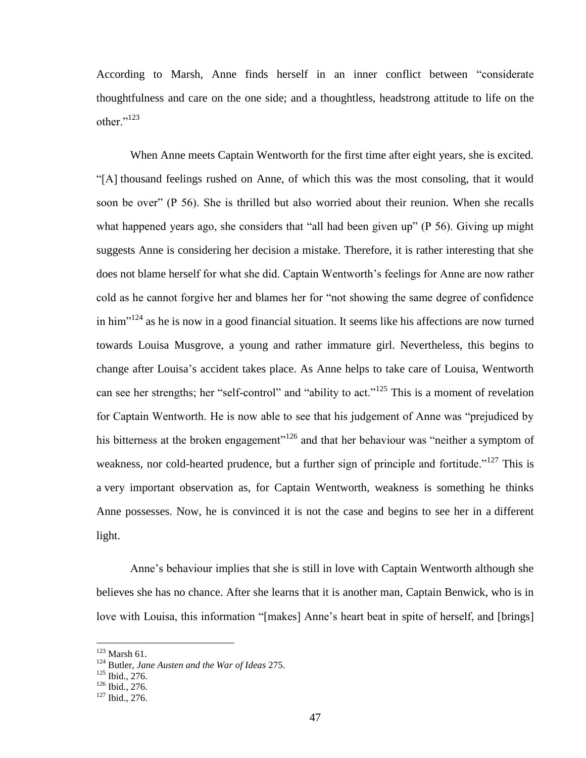According to Marsh, Anne finds herself in an inner conflict between "considerate thoughtfulness and care on the one side; and a thoughtless, headstrong attitude to life on the other."<sup>123</sup>

When Anne meets Captain Wentworth for the first time after eight years, she is excited. "[A] thousand feelings rushed on Anne, of which this was the most consoling, that it would soon be over" (P 56). She is thrilled but also worried about their reunion. When she recalls what happened years ago, she considers that "all had been given up" (P 56). Giving up might suggests Anne is considering her decision a mistake. Therefore, it is rather interesting that she does not blame herself for what she did. Captain Wentworth's feelings for Anne are now rather cold as he cannot forgive her and blames her for "not showing the same degree of confidence in him $^{124}$  as he is now in a good financial situation. It seems like his affections are now turned towards Louisa Musgrove, a young and rather immature girl. Nevertheless, this begins to change after Louisa"s accident takes place. As Anne helps to take care of Louisa, Wentworth can see her strengths; her "self-control" and "ability to act."<sup>125</sup> This is a moment of revelation for Captain Wentworth. He is now able to see that his judgement of Anne was "prejudiced by his bitterness at the broken engagement"<sup>126</sup> and that her behaviour was "neither a symptom of weakness, nor cold-hearted prudence, but a further sign of principle and fortitude."<sup>127</sup> This is a very important observation as, for Captain Wentworth, weakness is something he thinks Anne possesses. Now, he is convinced it is not the case and begins to see her in a different light.

Anne"s behaviour implies that she is still in love with Captain Wentworth although she believes she has no chance. After she learns that it is another man, Captain Benwick, who is in love with Louisa, this information "[makes] Anne's heart beat in spite of herself, and [brings]

 $123$  Marsh 61.

<sup>124</sup> Butler, *Jane Austen and the War of Ideas* 275.

<sup>125</sup> Ibid., 276.

<sup>126</sup> Ibid.*,* 276.

<sup>127</sup> Ibid., 276.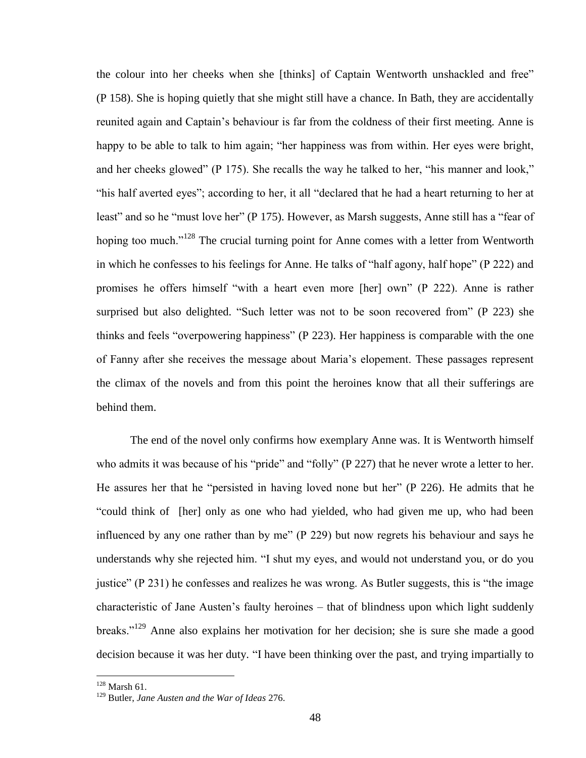the colour into her cheeks when she [thinks] of Captain Wentworth unshackled and free" (P 158). She is hoping quietly that she might still have a chance. In Bath, they are accidentally reunited again and Captain"s behaviour is far from the coldness of their first meeting. Anne is happy to be able to talk to him again; "her happiness was from within. Her eyes were bright, and her cheeks glowed" (P 175). She recalls the way he talked to her, "his manner and look," "his half averted eyes"; according to her, it all "declared that he had a heart returning to her at least" and so he "must love her" (P 175). However, as Marsh suggests, Anne still has a "fear of hoping too much."<sup>128</sup> The crucial turning point for Anne comes with a letter from Wentworth in which he confesses to his feelings for Anne. He talks of "half agony, half hope" (P 222) and promises he offers himself "with a heart even more [her] own" (P 222). Anne is rather surprised but also delighted. "Such letter was not to be soon recovered from" (P 223) she thinks and feels "overpowering happiness" (P 223). Her happiness is comparable with the one of Fanny after she receives the message about Maria"s elopement. These passages represent the climax of the novels and from this point the heroines know that all their sufferings are behind them.

The end of the novel only confirms how exemplary Anne was. It is Wentworth himself who admits it was because of his "pride" and "folly" (P 227) that he never wrote a letter to her. He assures her that he "persisted in having loved none but her" (P 226). He admits that he "could think of [her] only as one who had yielded, who had given me up, who had been influenced by any one rather than by me" (P 229) but now regrets his behaviour and says he understands why she rejected him. "I shut my eyes, and would not understand you, or do you justice" (P 231) he confesses and realizes he was wrong. As Butler suggests, this is "the image characteristic of Jane Austen"s faulty heroines – that of blindness upon which light suddenly breaks."<sup>129</sup> Anne also explains her motivation for her decision; she is sure she made a good decision because it was her duty. "I have been thinking over the past, and trying impartially to

 $128$  Marsh 61.

<sup>129</sup> Butler, *Jane Austen and the War of Ideas* 276.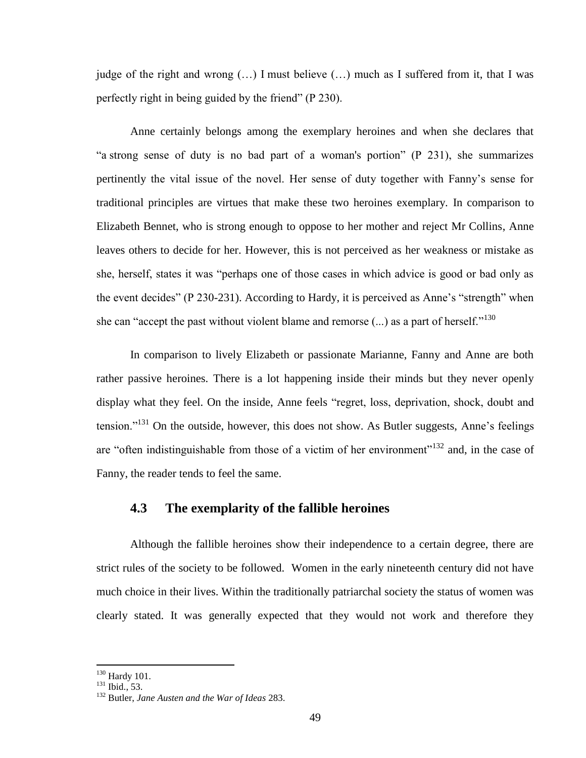judge of the right and wrong (…) I must believe (…) much as I suffered from it, that I was perfectly right in being guided by the friend" (P 230).

Anne certainly belongs among the exemplary heroines and when she declares that "a strong sense of duty is no bad part of a woman's portion" (P 231), she summarizes pertinently the vital issue of the novel. Her sense of duty together with Fanny"s sense for traditional principles are virtues that make these two heroines exemplary. In comparison to Elizabeth Bennet, who is strong enough to oppose to her mother and reject Mr Collins, Anne leaves others to decide for her. However, this is not perceived as her weakness or mistake as she, herself, states it was "perhaps one of those cases in which advice is good or bad only as the event decides" (P 230-231). According to Hardy, it is perceived as Anne"s "strength" when she can "accept the past without violent blame and remorse  $(...)$  as a part of herself."<sup>130</sup>

In comparison to lively Elizabeth or passionate Marianne, Fanny and Anne are both rather passive heroines. There is a lot happening inside their minds but they never openly display what they feel. On the inside, Anne feels "regret, loss, deprivation, shock, doubt and tension."<sup>131</sup> On the outside, however, this does not show. As Butler suggests, Anne's feelings are "often indistinguishable from those of a victim of her environment"<sup>132</sup> and, in the case of Fanny, the reader tends to feel the same.

# <span id="page-48-0"></span>**4.3 The exemplarity of the fallible heroines**

Although the fallible heroines show their independence to a certain degree, there are strict rules of the society to be followed. Women in the early nineteenth century did not have much choice in their lives. Within the traditionally patriarchal society the status of women was clearly stated. It was generally expected that they would not work and therefore they

 $\overline{a}$  $130$  Hardy 101.

 $131$  Ibid., 53.

<sup>132</sup> Butler, *Jane Austen and the War of Ideas* 283.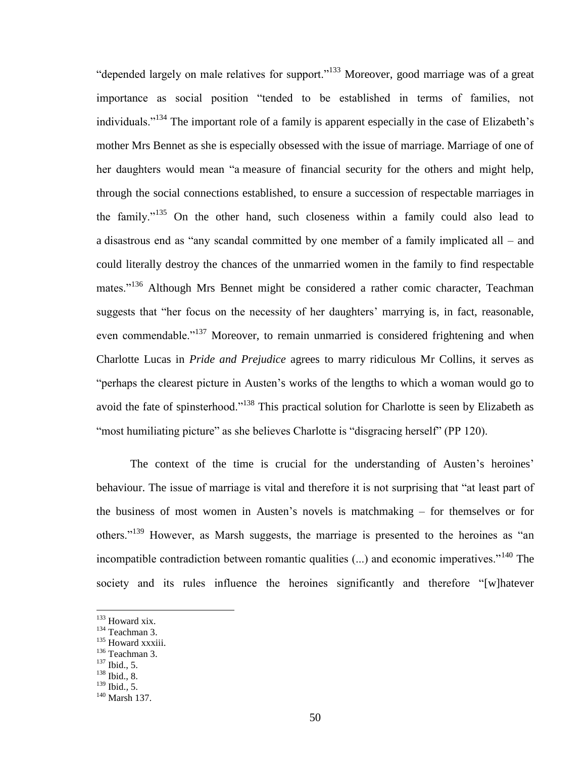"depended largely on male relatives for support."<sup>133</sup> Moreover, good marriage was of a great importance as social position "tended to be established in terms of families, not individuals."<sup>134</sup> The important role of a family is apparent especially in the case of Elizabeth"s mother Mrs Bennet as she is especially obsessed with the issue of marriage. Marriage of one of her daughters would mean "a measure of financial security for the others and might help, through the social connections established, to ensure a succession of respectable marriages in the family."<sup>135</sup> On the other hand, such closeness within a family could also lead to a disastrous end as "any scandal committed by one member of a family implicated all – and could literally destroy the chances of the unmarried women in the family to find respectable mates."<sup>136</sup> Although Mrs Bennet might be considered a rather comic character, Teachman suggests that "her focus on the necessity of her daughters' marrying is, in fact, reasonable, even commendable."<sup>137</sup> Moreover, to remain unmarried is considered frightening and when Charlotte Lucas in *Pride and Prejudice* agrees to marry ridiculous Mr Collins, it serves as "perhaps the clearest picture in Austen"s works of the lengths to which a woman would go to avoid the fate of spinsterhood."<sup>138</sup> This practical solution for Charlotte is seen by Elizabeth as "most humiliating picture" as she believes Charlotte is "disgracing herself" (PP 120).

The context of the time is crucial for the understanding of Austen's heroines' behaviour. The issue of marriage is vital and therefore it is not surprising that "at least part of the business of most women in Austen"s novels is matchmaking – for themselves or for others."<sup>139</sup> However, as Marsh suggests, the marriage is presented to the heroines as "an incompatible contradiction between romantic qualities  $(...)$  and economic imperatives.<sup> $,140$ </sup> The society and its rules influence the heroines significantly and therefore "[w]hatever

- <sup>134</sup> Teachman 3.
- <sup>135</sup> Howard xxxiii.

<sup>&</sup>lt;sup>133</sup> Howard xix.

<sup>136</sup> Teachman 3.

 $^{137}$  Ibid., 5.

<sup>138</sup> Ibid., 8.

<sup>139</sup> Ibid.*,* 5.

<sup>140</sup> Marsh 137.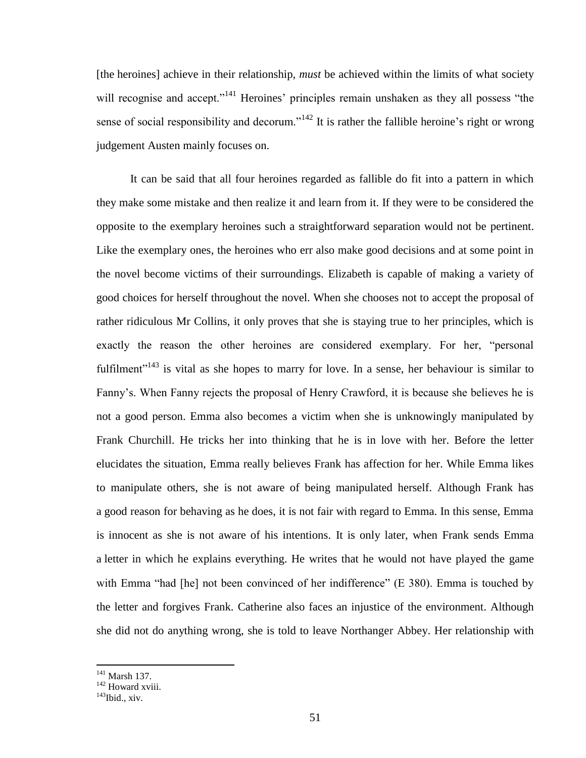[the heroines] achieve in their relationship, *must* be achieved within the limits of what society will recognise and accept."<sup>141</sup> Heroines' principles remain unshaken as they all possess "the sense of social responsibility and decorum."<sup>142</sup> It is rather the fallible heroine's right or wrong judgement Austen mainly focuses on.

It can be said that all four heroines regarded as fallible do fit into a pattern in which they make some mistake and then realize it and learn from it. If they were to be considered the opposite to the exemplary heroines such a straightforward separation would not be pertinent. Like the exemplary ones, the heroines who err also make good decisions and at some point in the novel become victims of their surroundings. Elizabeth is capable of making a variety of good choices for herself throughout the novel. When she chooses not to accept the proposal of rather ridiculous Mr Collins, it only proves that she is staying true to her principles, which is exactly the reason the other heroines are considered exemplary. For her, "personal fulfilment<sup> $143$ </sup> is vital as she hopes to marry for love. In a sense, her behaviour is similar to Fanny"s. When Fanny rejects the proposal of Henry Crawford, it is because she believes he is not a good person. Emma also becomes a victim when she is unknowingly manipulated by Frank Churchill. He tricks her into thinking that he is in love with her. Before the letter elucidates the situation, Emma really believes Frank has affection for her. While Emma likes to manipulate others, she is not aware of being manipulated herself. Although Frank has a good reason for behaving as he does, it is not fair with regard to Emma. In this sense, Emma is innocent as she is not aware of his intentions. It is only later, when Frank sends Emma a letter in which he explains everything. He writes that he would not have played the game with Emma "had [he] not been convinced of her indifference" (E 380). Emma is touched by the letter and forgives Frank. Catherine also faces an injustice of the environment. Although she did not do anything wrong, she is told to leave Northanger Abbey. Her relationship with

<sup>&</sup>lt;sup>141</sup> Marsh 137.

<sup>&</sup>lt;sup>142</sup> Howard xviii.

 $143$ Ibid., xiv.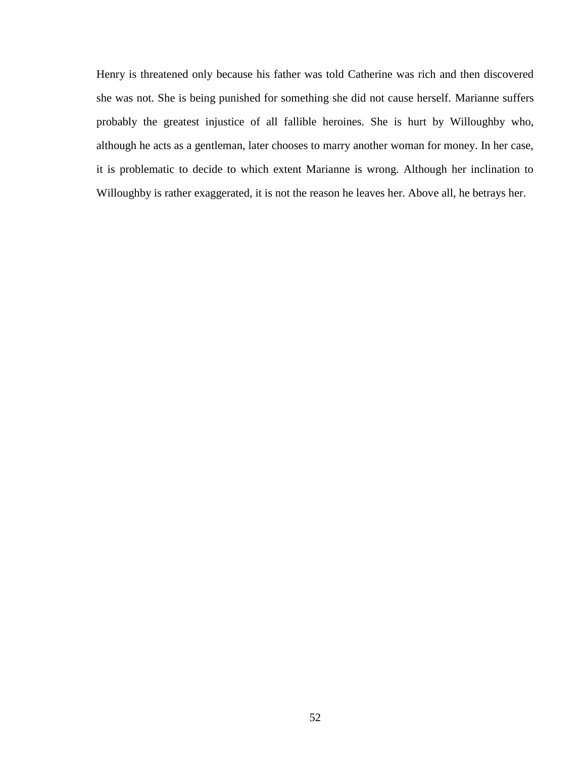Henry is threatened only because his father was told Catherine was rich and then discovered she was not. She is being punished for something she did not cause herself. Marianne suffers probably the greatest injustice of all fallible heroines. She is hurt by Willoughby who, although he acts as a gentleman, later chooses to marry another woman for money. In her case, it is problematic to decide to which extent Marianne is wrong. Although her inclination to Willoughby is rather exaggerated, it is not the reason he leaves her. Above all, he betrays her.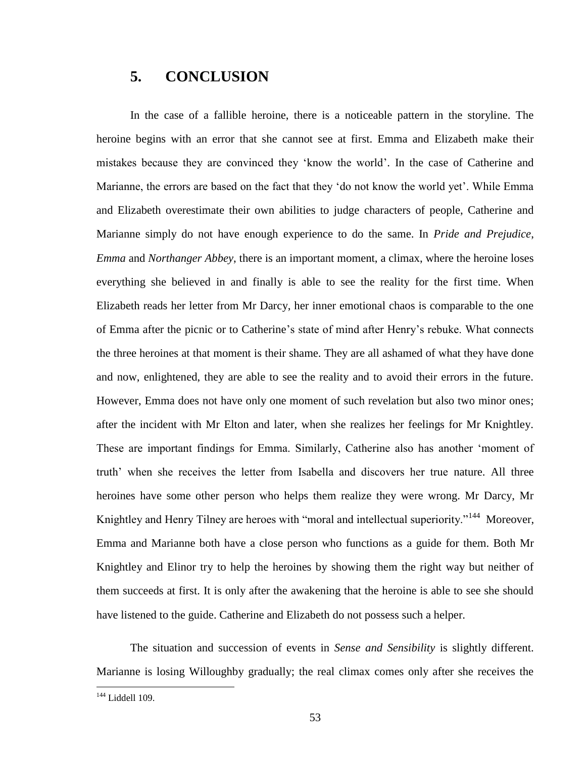# <span id="page-52-0"></span>**5. CONCLUSION**

In the case of a fallible heroine, there is a noticeable pattern in the storyline. The heroine begins with an error that she cannot see at first. Emma and Elizabeth make their mistakes because they are convinced they "know the world". In the case of Catherine and Marianne, the errors are based on the fact that they 'do not know the world yet'. While Emma and Elizabeth overestimate their own abilities to judge characters of people, Catherine and Marianne simply do not have enough experience to do the same. In *Pride and Prejudice*, *Emma* and *Northanger Abbey*, there is an important moment, a climax, where the heroine loses everything she believed in and finally is able to see the reality for the first time. When Elizabeth reads her letter from Mr Darcy, her inner emotional chaos is comparable to the one of Emma after the picnic or to Catherine"s state of mind after Henry"s rebuke. What connects the three heroines at that moment is their shame. They are all ashamed of what they have done and now, enlightened, they are able to see the reality and to avoid their errors in the future. However, Emma does not have only one moment of such revelation but also two minor ones; after the incident with Mr Elton and later, when she realizes her feelings for Mr Knightley. These are important findings for Emma. Similarly, Catherine also has another "moment of truth" when she receives the letter from Isabella and discovers her true nature. All three heroines have some other person who helps them realize they were wrong. Mr Darcy, Mr Knightley and Henry Tilney are heroes with "moral and intellectual superiority."<sup>144</sup> Moreover, Emma and Marianne both have a close person who functions as a guide for them. Both Mr Knightley and Elinor try to help the heroines by showing them the right way but neither of them succeeds at first. It is only after the awakening that the heroine is able to see she should have listened to the guide. Catherine and Elizabeth do not possess such a helper.

The situation and succession of events in *Sense and Sensibility* is slightly different. Marianne is losing Willoughby gradually; the real climax comes only after she receives the

<sup>&</sup>lt;sup>144</sup> Liddell 109.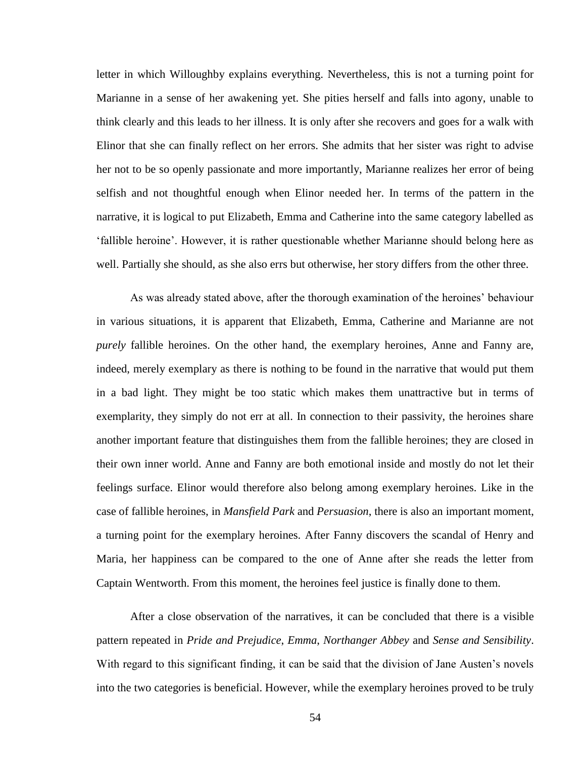letter in which Willoughby explains everything. Nevertheless, this is not a turning point for Marianne in a sense of her awakening yet. She pities herself and falls into agony, unable to think clearly and this leads to her illness. It is only after she recovers and goes for a walk with Elinor that she can finally reflect on her errors. She admits that her sister was right to advise her not to be so openly passionate and more importantly, Marianne realizes her error of being selfish and not thoughtful enough when Elinor needed her. In terms of the pattern in the narrative, it is logical to put Elizabeth, Emma and Catherine into the same category labelled as "fallible heroine". However, it is rather questionable whether Marianne should belong here as well. Partially she should, as she also errs but otherwise, her story differs from the other three.

As was already stated above, after the thorough examination of the heroines" behaviour in various situations, it is apparent that Elizabeth, Emma, Catherine and Marianne are not *purely* fallible heroines. On the other hand, the exemplary heroines, Anne and Fanny are, indeed, merely exemplary as there is nothing to be found in the narrative that would put them in a bad light. They might be too static which makes them unattractive but in terms of exemplarity, they simply do not err at all. In connection to their passivity, the heroines share another important feature that distinguishes them from the fallible heroines; they are closed in their own inner world. Anne and Fanny are both emotional inside and mostly do not let their feelings surface. Elinor would therefore also belong among exemplary heroines. Like in the case of fallible heroines, in *Mansfield Park* and *Persuasion*, there is also an important moment, a turning point for the exemplary heroines. After Fanny discovers the scandal of Henry and Maria, her happiness can be compared to the one of Anne after she reads the letter from Captain Wentworth. From this moment, the heroines feel justice is finally done to them.

After a close observation of the narratives, it can be concluded that there is a visible pattern repeated in *Pride and Prejudice*, *Emma*, *Northanger Abbey* and *Sense and Sensibility*. With regard to this significant finding, it can be said that the division of Jane Austen's novels into the two categories is beneficial. However, while the exemplary heroines proved to be truly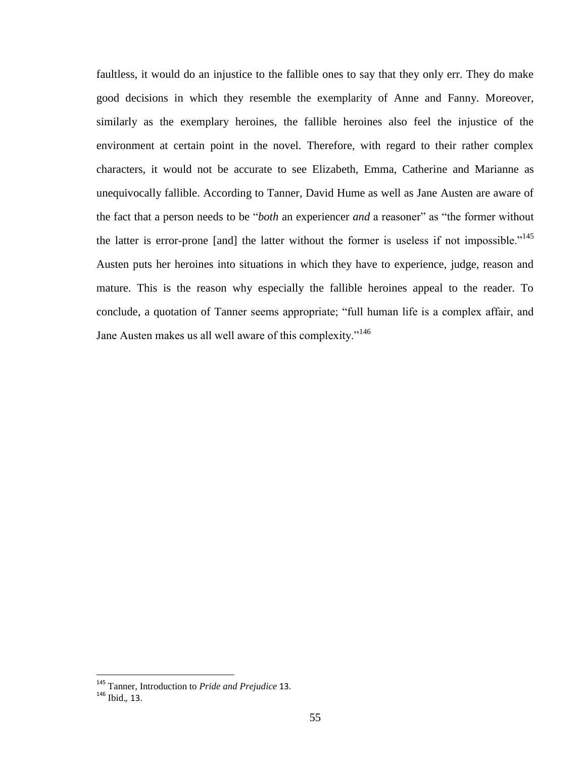faultless, it would do an injustice to the fallible ones to say that they only err. They do make good decisions in which they resemble the exemplarity of Anne and Fanny. Moreover, similarly as the exemplary heroines, the fallible heroines also feel the injustice of the environment at certain point in the novel. Therefore, with regard to their rather complex characters, it would not be accurate to see Elizabeth, Emma, Catherine and Marianne as unequivocally fallible. According to Tanner, David Hume as well as Jane Austen are aware of the fact that a person needs to be "*both* an experiencer *and* a reasoner" as "the former without the latter is error-prone [and] the latter without the former is useless if not impossible."<sup>145</sup> Austen puts her heroines into situations in which they have to experience, judge, reason and mature. This is the reason why especially the fallible heroines appeal to the reader. To conclude, a quotation of Tanner seems appropriate; "full human life is a complex affair, and Jane Austen makes us all well aware of this complexity."<sup>146</sup>

<sup>145</sup> Tanner, Introduction to *Pride and Prejudice* 13.

<sup>146</sup> Ibid.*,* 13.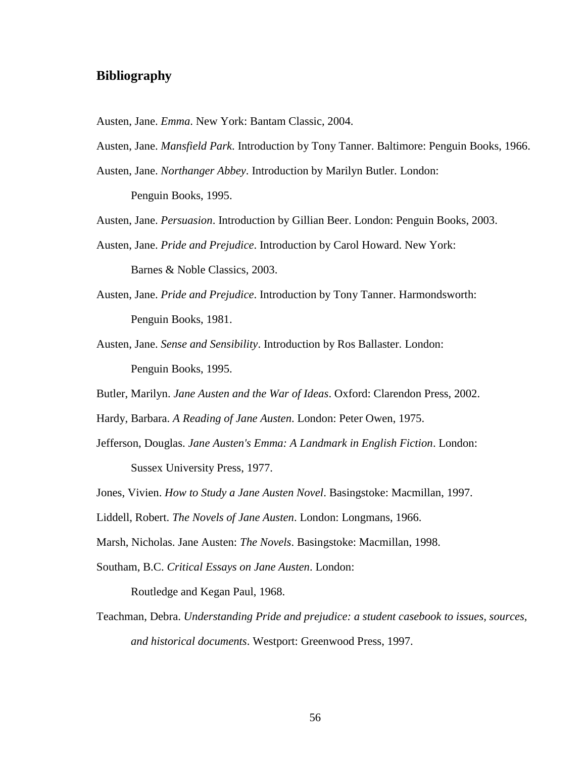## <span id="page-55-0"></span>**Bibliography**

Austen, Jane. *Emma*. New York: Bantam Classic, 2004.

Austen, Jane. *Mansfield Park*. Introduction by Tony Tanner. Baltimore: Penguin Books, 1966.

Austen, Jane. *Northanger Abbey*. Introduction by Marilyn Butler. London:

Penguin Books, 1995.

Austen, Jane. *Persuasion*. Introduction by Gillian Beer. London: Penguin Books, 2003.

Austen, Jane. *Pride and Prejudice*. Introduction by Carol Howard. New York:

Barnes & Noble Classics, 2003.

Austen, Jane. *Pride and Prejudice*. Introduction by Tony Tanner. Harmondsworth: Penguin Books, 1981.

Austen, Jane. *Sense and Sensibility*. Introduction by Ros Ballaster. London: Penguin Books, 1995.

Butler, Marilyn. *Jane Austen and the War of Ideas*. Oxford: Clarendon Press, 2002.

Hardy, Barbara. *A Reading of Jane Austen*. London: Peter Owen, 1975.

Jefferson, Douglas. *Jane Austen's Emma: A Landmark in English Fiction*. London: Sussex University Press, 1977.

Jones, Vivien. *How to Study a Jane Austen Novel*. Basingstoke: Macmillan, 1997.

Liddell, Robert. *The Novels of Jane Austen*. London: Longmans, 1966.

Marsh, Nicholas. Jane Austen: *The Novels*. Basingstoke: Macmillan, 1998.

Southam, B.C. *Critical Essays on Jane Austen*. London:

Routledge and Kegan Paul, 1968.

Teachman, Debra. *Understanding Pride and prejudice: a student casebook to issues, sources, and historical documents*. Westport: Greenwood Press, 1997.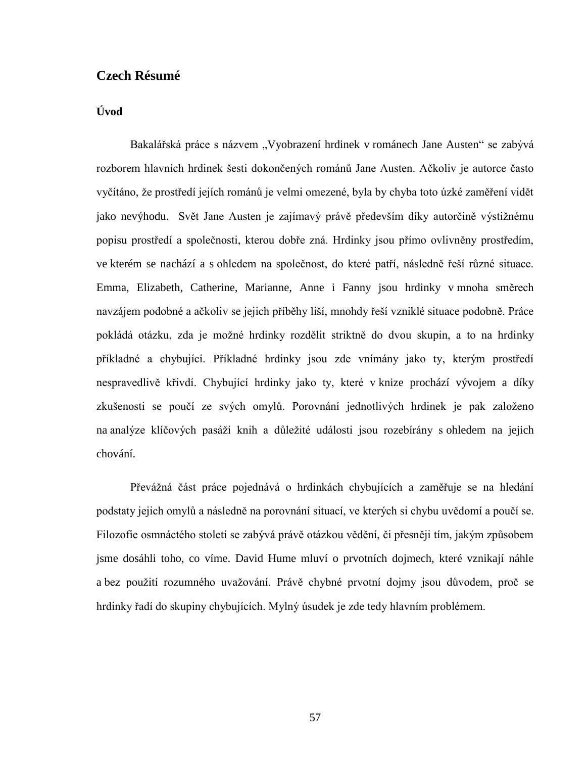# <span id="page-56-0"></span>**Czech Résumé**

# **Úvod**

Bakalářská práce s názvem "Vyobrazení hrdinek v románech Jane Austen" se zabývá rozborem hlavních hrdinek šesti dokončených románů Jane Austen. Ačkoliv je autorce často vyčítáno, že prostředí jejích románů je velmi omezené, byla by chyba toto úzké zaměření vidět jako nevýhodu. Svět Jane Austen je zajímavý právě především díky autorčině výstižnému popisu prostředí a společnosti, kterou dobře zná. Hrdinky jsou přímo ovlivněny prostředím, ve kterém se nachází a s ohledem na společnost, do které patří, následně řeší různé situace. Emma, Elizabeth, Catherine, Marianne, Anne i Fanny jsou hrdinky v mnoha směrech navzájem podobné a ačkoliv se jejich příběhy liší, mnohdy řeší vzniklé situace podobně. Práce pokládá otázku, zda je možné hrdinky rozdělit striktně do dvou skupin, a to na hrdinky příkladné a chybující. Příkladné hrdinky jsou zde vnímány jako ty, kterým prostředí nespravedlivě křivdí. Chybující hrdinky jako ty, které v knize prochází vývojem a díky zkušenosti se poučí ze svých omylů. Porovnání jednotlivých hrdinek je pak založeno na analýze klíčových pasáží knih a důležité události jsou rozebírány s ohledem na jejich chování.

Převážná část práce pojednává o hrdinkách chybujících a zaměřuje se na hledání podstaty jejich omylů a následně na porovnání situací, ve kterých si chybu uvědomí a poučí se. Filozofie osmnáctého století se zabývá právě otázkou vědění, či přesněji tím, jakým způsobem jsme dosáhli toho, co víme. David Hume mluví o prvotních dojmech, které vznikají náhle a bez použití rozumného uvažování. Právě chybné prvotní dojmy jsou důvodem, proč se hrdinky řadí do skupiny chybujících. Mylný úsudek je zde tedy hlavním problémem.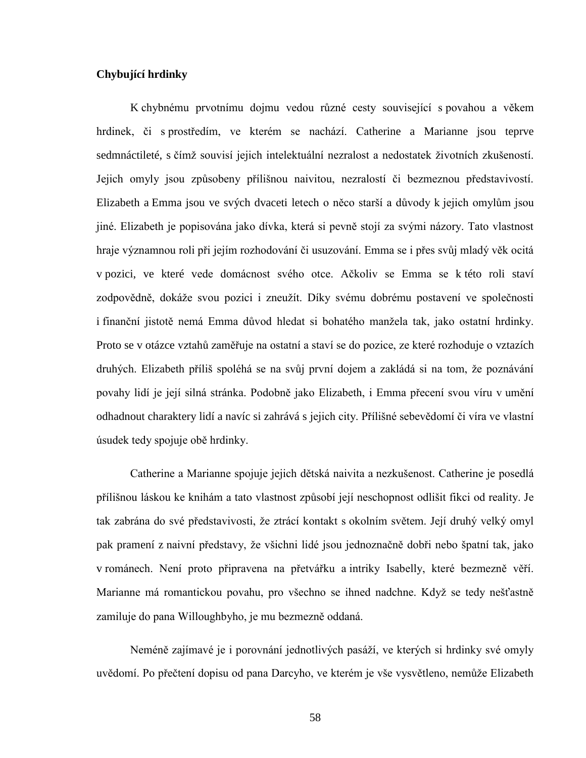#### **Chybující hrdinky**

K chybnému prvotnímu dojmu vedou různé cesty související s povahou a věkem hrdinek, či s prostředím, ve kterém se nachází. Catherine a Marianne jsou teprve sedmnáctileté, s čímž souvisí jejich intelektuální nezralost a nedostatek životních zkušeností. Jejich omyly jsou způsobeny přílišnou naivitou, nezralostí či bezmeznou představivostí. Elizabeth a Emma jsou ve svých dvaceti letech o něco starší a důvody k jejich omylům jsou jiné. Elizabeth je popisována jako dívka, která si pevně stojí za svými názory. Tato vlastnost hraje významnou roli při jejím rozhodování či usuzování. Emma se i přes svůj mladý věk ocitá v pozici, ve které vede domácnost svého otce. Ačkoliv se Emma se k této roli staví zodpovědně, dokáže svou pozici i zneužít. Díky svému dobrému postavení ve společnosti i finanční jistotě nemá Emma důvod hledat si bohatého manžela tak, jako ostatní hrdinky. Proto se v otázce vztahů zaměřuje na ostatní a staví se do pozice, ze které rozhoduje o vztazích druhých. Elizabeth příliš spoléhá se na svůj první dojem a zakládá si na tom, že poznávání povahy lidí je její silná stránka. Podobně jako Elizabeth, i Emma přecení svou víru v umění odhadnout charaktery lidí a navíc si zahrává s jejich city. Přílišné sebevědomí či víra ve vlastní úsudek tedy spojuje obě hrdinky.

Catherine a Marianne spojuje jejich dětská naivita a nezkušenost. Catherine je posedlá přílišnou láskou ke knihám a tato vlastnost způsobí její neschopnost odlišit fikci od reality. Je tak zabrána do své představivosti, že ztrácí kontakt s okolním světem. Její druhý velký omyl pak pramení z naivní představy, že všichni lidé jsou jednoznačně dobři nebo špatní tak, jako v románech. Není proto připravena na přetvářku a intriky Isabelly, které bezmezně věří. Marianne má romantickou povahu, pro všechno se ihned nadchne. Když se tedy nešťastně zamiluje do pana Willoughbyho, je mu bezmezně oddaná.

Neméně zajímavé je i porovnání jednotlivých pasáží, ve kterých si hrdinky své omyly uvědomí. Po přečtení dopisu od pana Darcyho, ve kterém je vše vysvětleno, nemůže Elizabeth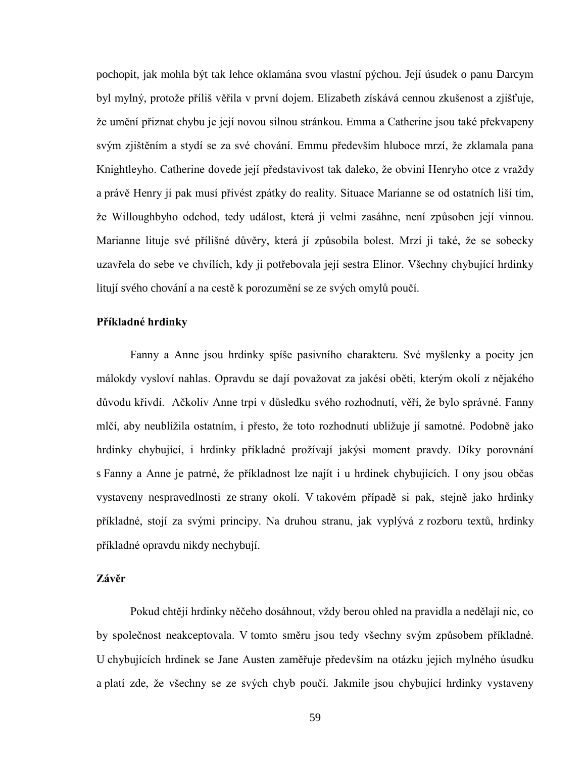pochopit, jak mohla být tak lehce oklamána svou vlastní pýchou. Její úsudek o panu Darcym byl mylný, protože příliš věřila v první dojem. Elizabeth získává cennou zkušenost a zjišťuje, že umění přiznat chybu je její novou silnou stránkou. Emma a Catherine jsou také překvapeny svým zjištěním a stydí se za své chování. Emmu především hluboce mrzí, že zklamala pana Knightleyho. Catherine dovede její představivost tak daleko, že obviní Henryho otce z vraždy a právě Henry ji pak musí přivést zpátky do reality. Situace Marianne se od ostatních liší tím, že Willoughbyho odchod, tedy událost, která ji velmi zasáhne, není způsoben její vinnou. Marianne lituje své přílišné důvěry, která jí způsobila bolest. Mrzí ji také, že se sobecky uzavřela do sebe ve chvílích, kdy ji potřebovala její sestra Elinor. Všechny chybující hrdinky litují svého chování a na cestě k porozumění se ze svých omylů poučí.

#### **Příkladné hrdinky**

Fanny a Anne jsou hrdinky spíše pasivního charakteru. Své myšlenky a pocity jen málokdy vysloví nahlas. Opravdu se dají považovat za jakési oběti, kterým okolí z nějakého důvodu křivdí. Ačkoliv Anne trpí v důsledku svého rozhodnutí, věří, že bylo správné. Fanny mlčí, aby neublížila ostatním, i přesto, že toto rozhodnutí ubližuje jí samotné. Podobně jako hrdinky chybující, i hrdinky příkladné prožívají jakýsi moment pravdy. Díky porovnání s Fanny a Anne je patrné, že příkladnost lze najít i u hrdinek chybujících. I ony jsou občas vystaveny nespravedlnosti ze strany okolí. V takovém případě si pak, stejně jako hrdinky příkladné, stojí za svými principy. Na druhou stranu, jak vyplývá z rozboru textů, hrdinky příkladné opravdu nikdy nechybují.

#### **Závěr**

Pokud chtějí hrdinky něčeho dosáhnout, vždy berou ohled na pravidla a nedělají nic, co by společnost neakceptovala. V tomto směru jsou tedy všechny svým způsobem příkladné. U chybujících hrdinek se Jane Austen zaměřuje především na otázku jejich mylného úsudku a platí zde, že všechny se ze svých chyb poučí. Jakmile jsou chybující hrdinky vystaveny